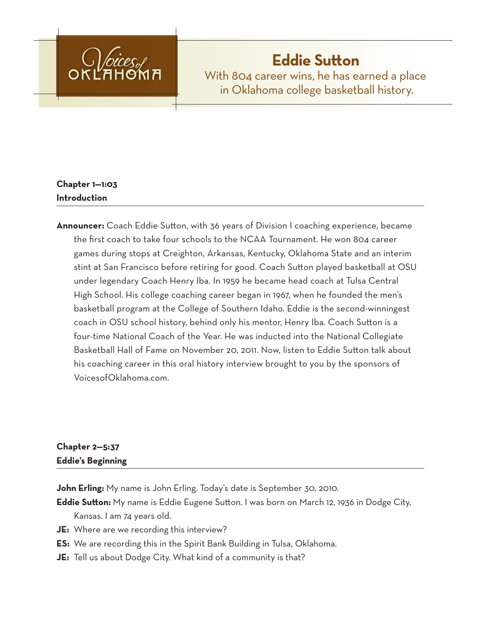

# **Eddie Sutton**

With 804 career wins, he has earned a place in Oklahoma college basketball history.

# **Chapter 1—1:03 Introduction**

**Announcer:** Coach Eddie Sutton, with 36 years of Division I coaching experience, became the first coach to take four schools to the NCAA Tournament. He won 804 career games during stops at Creighton, Arkansas, Kentucky, Oklahoma State and an interim stint at San Francisco before retiring for good. Coach Sutton played basketball at OSU under legendary Coach Henry Iba. In 1959 he became head coach at Tulsa Central High School. His college coaching career began in 1967, when he founded the men's basketball program at the College of Southern Idaho. Eddie is the second-winningest coach in OSU school history, behind only his mentor, Henry Iba. Coach Sutton is a four-time National Coach of the Year. He was inducted into the National Collegiate Basketball Hall of Fame on November 20, 2011. Now, listen to Eddie Sutton talk about his coaching career in this oral history interview brought to you by the sponsors of VoicesofOklahoma.com.

# **Chapter 2—5:37 Eddie's Beginning**

John Erling: My name is John Erling. Today's date is September 30, 2010.

**Eddie Sutton:** My name is Eddie Eugene Sutton. I was born on March 12, 1936 in Dodge City, Kansas. I am 74 years old.

- **JE:** Where are we recording this interview?
- **ES:** We are recording this in the Spirit Bank Building in Tulsa, Oklahoma.
- **JE:** Tell us about Dodge City. What kind of a community is that?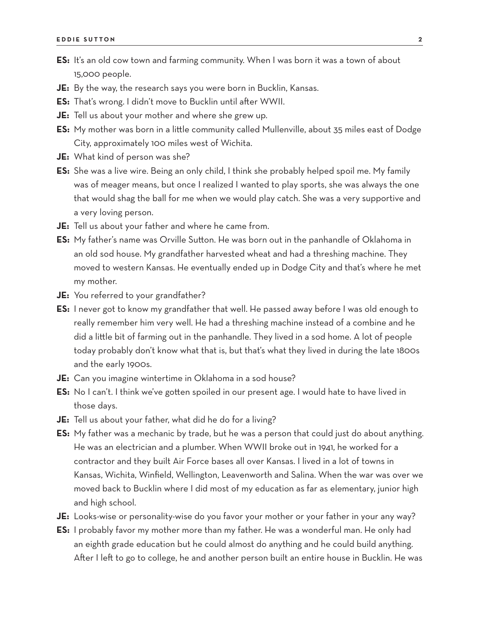- **ES:** It's an old cow town and farming community. When I was born it was a town of about 15,000 people.
- **JE:** By the way, the research says you were born in Bucklin, Kansas.
- **ES:** That's wrong. I didn't move to Bucklin until after WWII.
- **JE:** Tell us about your mother and where she grew up.
- **ES:** My mother was born in a little community called Mullenville, about 35 miles east of Dodge City, approximately 100 miles west of Wichita.
- **JE:** What kind of person was she?
- **ES:** She was a live wire. Being an only child, I think she probably helped spoil me. My family was of meager means, but once I realized I wanted to play sports, she was always the one that would shag the ball for me when we would play catch. She was a very supportive and a very loving person.
- **JE:** Tell us about your father and where he came from.
- **ES:** My father's name was Orville Sutton. He was born out in the panhandle of Oklahoma in an old sod house. My grandfather harvested wheat and had a threshing machine. They moved to western Kansas. He eventually ended up in Dodge City and that's where he met my mother.
- **JE:** You referred to your grandfather?
- **ES:** I never got to know my grandfather that well. He passed away before I was old enough to really remember him very well. He had a threshing machine instead of a combine and he did a little bit of farming out in the panhandle. They lived in a sod home. A lot of people today probably don't know what that is, but that's what they lived in during the late 1800s and the early 1900s.
- **JE:** Can you imagine wintertime in Oklahoma in a sod house?
- **ES:** No I can't. I think we've gotten spoiled in our present age. I would hate to have lived in those days.
- **JE:** Tell us about your father, what did he do for a living?
- **ES:** My father was a mechanic by trade, but he was a person that could just do about anything. He was an electrician and a plumber. When WWII broke out in 1941, he worked for a contractor and they built Air Force bases all over Kansas. I lived in a lot of towns in Kansas, Wichita, Winfield, Wellington, Leavenworth and Salina. When the war was over we moved back to Bucklin where I did most of my education as far as elementary, junior high and high school.
- **JE:** Looks-wise or personality-wise do you favor your mother or your father in your any way?
- **ES:** I probably favor my mother more than my father. He was a wonderful man. He only had an eighth grade education but he could almost do anything and he could build anything. After I left to go to college, he and another person built an entire house in Bucklin. He was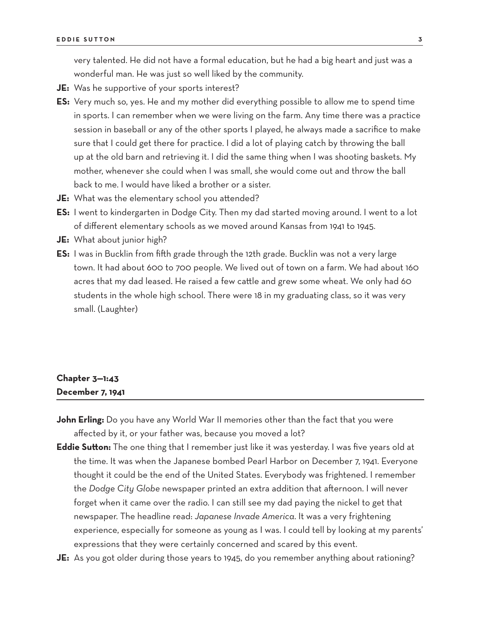very talented. He did not have a formal education, but he had a big heart and just was a wonderful man. He was just so well liked by the community.

- **JE:** Was he supportive of your sports interest?
- **ES:** Very much so, yes. He and my mother did everything possible to allow me to spend time in sports. I can remember when we were living on the farm. Any time there was a practice session in baseball or any of the other sports I played, he always made a sacrifice to make sure that I could get there for practice. I did a lot of playing catch by throwing the ball up at the old barn and retrieving it. I did the same thing when I was shooting baskets. My mother, whenever she could when I was small, she would come out and throw the ball back to me. I would have liked a brother or a sister.
- **JE:** What was the elementary school you attended?
- **ES:** I went to kindergarten in Dodge City. Then my dad started moving around. I went to a lot of different elementary schools as we moved around Kansas from 1941 to 1945.
- **JE:** What about junior high?
- **ES:** I was in Bucklin from fifth grade through the 12th grade. Bucklin was not a very large town. It had about 600 to 700 people. We lived out of town on a farm. We had about 160 acres that my dad leased. He raised a few cattle and grew some wheat. We only had 60 students in the whole high school. There were 18 in my graduating class, so it was very small. (Laughter)

# **Chapter 3—1:43 December 7, 1941**

John Erling: Do you have any World War II memories other than the fact that you were affected by it, or your father was, because you moved a lot?

- **Eddie Sutton:** The one thing that I remember just like it was yesterday. I was five years old at the time. It was when the Japanese bombed Pearl Harbor on December 7, 1941. Everyone thought it could be the end of the United States. Everybody was frightened. I remember the *Dodge City Globe* newspaper printed an extra addition that afternoon. I will never forget when it came over the radio. I can still see my dad paying the nickel to get that newspaper. The headline read: *Japanese Invade America*. It was a very frightening experience, especially for someone as young as I was. I could tell by looking at my parents' expressions that they were certainly concerned and scared by this event.
- **JE:** As you got older during those years to 1945, do you remember anything about rationing?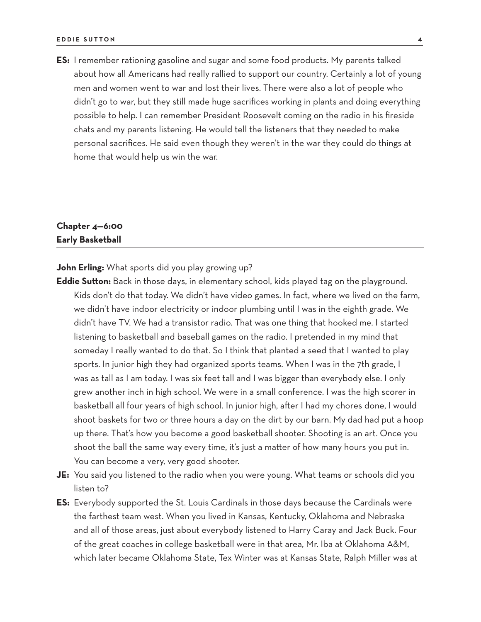**ES:** I remember rationing gasoline and sugar and some food products. My parents talked about how all Americans had really rallied to support our country. Certainly a lot of young men and women went to war and lost their lives. There were also a lot of people who didn't go to war, but they still made huge sacrifices working in plants and doing everything possible to help. I can remember President Roosevelt coming on the radio in his fireside chats and my parents listening. He would tell the listeners that they needed to make personal sacrifices. He said even though they weren't in the war they could do things at home that would help us win the war.

## **Chapter 4—6:00 Early Basketball**

**John Erling:** What sports did you play growing up?

- **Eddie Sutton:** Back in those days, in elementary school, kids played tag on the playground. Kids don't do that today. We didn't have video games. In fact, where we lived on the farm, we didn't have indoor electricity or indoor plumbing until I was in the eighth grade. We didn't have TV. We had a transistor radio. That was one thing that hooked me. I started listening to basketball and baseball games on the radio. I pretended in my mind that someday I really wanted to do that. So I think that planted a seed that I wanted to play sports. In junior high they had organized sports teams. When I was in the 7th grade, I was as tall as I am today. I was six feet tall and I was bigger than everybody else. I only grew another inch in high school. We were in a small conference. I was the high scorer in basketball all four years of high school. In junior high, after I had my chores done, I would shoot baskets for two or three hours a day on the dirt by our barn. My dad had put a hoop up there. That's how you become a good basketball shooter. Shooting is an art. Once you shoot the ball the same way every time, it's just a matter of how many hours you put in. You can become a very, very good shooter.
- **JE:** You said you listened to the radio when you were young. What teams or schools did you listen to?
- **ES:** Everybody supported the St. Louis Cardinals in those days because the Cardinals were the farthest team west. When you lived in Kansas, Kentucky, Oklahoma and Nebraska and all of those areas, just about everybody listened to Harry Caray and Jack Buck. Four of the great coaches in college basketball were in that area, Mr. Iba at Oklahoma A&M, which later became Oklahoma State, Tex Winter was at Kansas State, Ralph Miller was at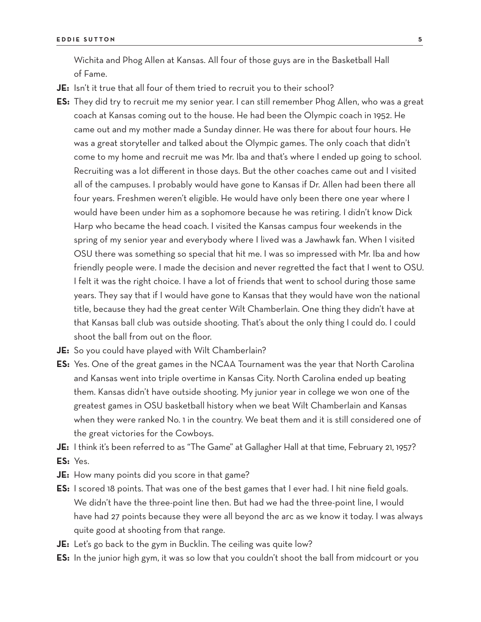Wichita and Phog Allen at Kansas. All four of those guys are in the Basketball Hall of Fame.

- **JE:** Isn't it true that all four of them tried to recruit you to their school?
- **ES:** They did try to recruit me my senior year. I can still remember Phog Allen, who was a great coach at Kansas coming out to the house. He had been the Olympic coach in 1952. He came out and my mother made a Sunday dinner. He was there for about four hours. He was a great storyteller and talked about the Olympic games. The only coach that didn't come to my home and recruit me was Mr. Iba and that's where I ended up going to school. Recruiting was a lot different in those days. But the other coaches came out and I visited all of the campuses. I probably would have gone to Kansas if Dr. Allen had been there all four years. Freshmen weren't eligible. He would have only been there one year where I would have been under him as a sophomore because he was retiring. I didn't know Dick Harp who became the head coach. I visited the Kansas campus four weekends in the spring of my senior year and everybody where I lived was a Jawhawk fan. When I visited OSU there was something so special that hit me. I was so impressed with Mr. Iba and how friendly people were. I made the decision and never regretted the fact that I went to OSU. I felt it was the right choice. I have a lot of friends that went to school during those same years. They say that if I would have gone to Kansas that they would have won the national title, because they had the great center Wilt Chamberlain. One thing they didn't have at that Kansas ball club was outside shooting. That's about the only thing I could do. I could shoot the ball from out on the floor.
- **JE:** So you could have played with Wilt Chamberlain?
- **ES:** Yes. One of the great games in the NCAA Tournament was the year that North Carolina and Kansas went into triple overtime in Kansas City. North Carolina ended up beating them. Kansas didn't have outside shooting. My junior year in college we won one of the greatest games in OSU basketball history when we beat Wilt Chamberlain and Kansas when they were ranked No. 1 in the country. We beat them and it is still considered one of the great victories for the Cowboys.
- JE: I think it's been referred to as "The Game" at Gallagher Hall at that time, February 21, 1957? **ES:** Yes.
- **JE:** How many points did you score in that game?
- **ES:** I scored 18 points. That was one of the best games that I ever had. I hit nine field goals. We didn't have the three-point line then. But had we had the three-point line, I would have had 27 points because they were all beyond the arc as we know it today. I was always quite good at shooting from that range.
- **JE:** Let's go back to the gym in Bucklin. The ceiling was quite low?
- **ES:** In the junior high gym, it was so low that you couldn't shoot the ball from midcourt or you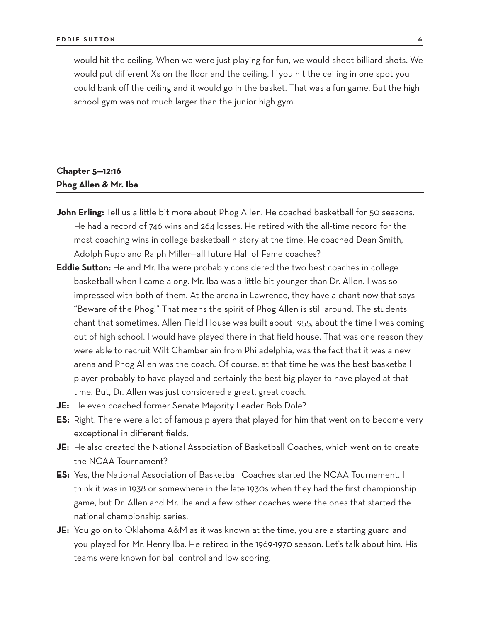would hit the ceiling. When we were just playing for fun, we would shoot billiard shots. We would put different Xs on the floor and the ceiling. If you hit the ceiling in one spot you could bank off the ceiling and it would go in the basket. That was a fun game. But the high school gym was not much larger than the junior high gym.

# **Chapter 5—12:16 Phog Allen & Mr. Iba**

- **John Erling:** Tell us a little bit more about Phog Allen. He coached basketball for 50 seasons. He had a record of 746 wins and 264 losses. He retired with the all-time record for the most coaching wins in college basketball history at the time. He coached Dean Smith, Adolph Rupp and Ralph Miller—all future Hall of Fame coaches?
- **Eddie Sutton:** He and Mr. Iba were probably considered the two best coaches in college basketball when I came along. Mr. Iba was a little bit younger than Dr. Allen. I was so impressed with both of them. At the arena in Lawrence, they have a chant now that says "Beware of the Phog!" That means the spirit of Phog Allen is still around. The students chant that sometimes. Allen Field House was built about 1955, about the time I was coming out of high school. I would have played there in that field house. That was one reason they were able to recruit Wilt Chamberlain from Philadelphia, was the fact that it was a new arena and Phog Allen was the coach. Of course, at that time he was the best basketball player probably to have played and certainly the best big player to have played at that time. But, Dr. Allen was just considered a great, great coach.
- **JE:** He even coached former Senate Majority Leader Bob Dole?
- **ES:** Right. There were a lot of famous players that played for him that went on to become very exceptional in different fields.
- **JE:** He also created the National Association of Basketball Coaches, which went on to create the NCAA Tournament?
- **ES:** Yes, the National Association of Basketball Coaches started the NCAA Tournament. I think it was in 1938 or somewhere in the late 1930s when they had the first championship game, but Dr. Allen and Mr. Iba and a few other coaches were the ones that started the national championship series.
- **JE:** You go on to Oklahoma A&M as it was known at the time, you are a starting guard and you played for Mr. Henry Iba. He retired in the 1969-1970 season. Let's talk about him. His teams were known for ball control and low scoring.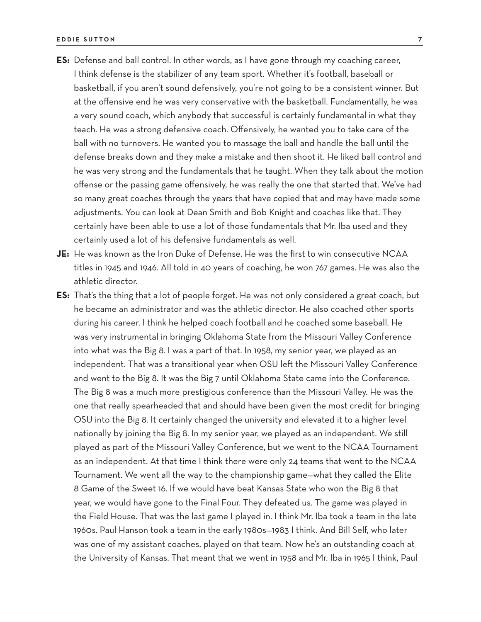- **ES:** Defense and ball control. In other words, as I have gone through my coaching career, I think defense is the stabilizer of any team sport. Whether it's football, baseball or basketball, if you aren't sound defensively, you're not going to be a consistent winner. But at the offensive end he was very conservative with the basketball. Fundamentally, he was a very sound coach, which anybody that successful is certainly fundamental in what they teach. He was a strong defensive coach. Offensively, he wanted you to take care of the ball with no turnovers. He wanted you to massage the ball and handle the ball until the defense breaks down and they make a mistake and then shoot it. He liked ball control and he was very strong and the fundamentals that he taught. When they talk about the motion offense or the passing game offensively, he was really the one that started that. We've had so many great coaches through the years that have copied that and may have made some adjustments. You can look at Dean Smith and Bob Knight and coaches like that. They certainly have been able to use a lot of those fundamentals that Mr. Iba used and they certainly used a lot of his defensive fundamentals as well.
- **JE:** He was known as the Iron Duke of Defense. He was the first to win consecutive NCAA titles in 1945 and 1946. All told in 40 years of coaching, he won 767 games. He was also the athletic director.
- **ES:** That's the thing that a lot of people forget. He was not only considered a great coach, but he became an administrator and was the athletic director. He also coached other sports during his career. I think he helped coach football and he coached some baseball. He was very instrumental in bringing Oklahoma State from the Missouri Valley Conference into what was the Big 8. I was a part of that. In 1958, my senior year, we played as an independent. That was a transitional year when OSU left the Missouri Valley Conference and went to the Big 8. It was the Big 7 until Oklahoma State came into the Conference. The Big 8 was a much more prestigious conference than the Missouri Valley. He was the one that really spearheaded that and should have been given the most credit for bringing OSU into the Big 8. It certainly changed the university and elevated it to a higher level nationally by joining the Big 8. In my senior year, we played as an independent. We still played as part of the Missouri Valley Conference, but we went to the NCAA Tournament as an independent. At that time I think there were only 24 teams that went to the NCAA Tournament. We went all the way to the championship game—what they called the Elite 8 Game of the Sweet 16. If we would have beat Kansas State who won the Big 8 that year, we would have gone to the Final Four. They defeated us. The game was played in the Field House. That was the last game I played in. I think Mr. Iba took a team in the late 1960s. Paul Hanson took a team in the early 1980s—1983 I think. And Bill Self, who later was one of my assistant coaches, played on that team. Now he's an outstanding coach at the University of Kansas. That meant that we went in 1958 and Mr. Iba in 1965 I think, Paul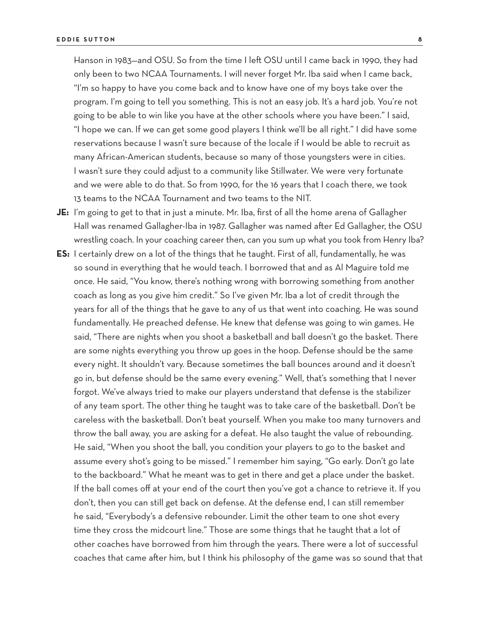Hanson in 1983—and OSU. So from the time I left OSU until I came back in 1990, they had only been to two NCAA Tournaments. I will never forget Mr. Iba said when I came back, "I'm so happy to have you come back and to know have one of my boys take over the program. I'm going to tell you something. This is not an easy job. It's a hard job. You're not going to be able to win like you have at the other schools where you have been." I said, "I hope we can. If we can get some good players I think we'll be all right." I did have some reservations because I wasn't sure because of the locale if I would be able to recruit as many African-American students, because so many of those youngsters were in cities. I wasn't sure they could adjust to a community like Stillwater. We were very fortunate and we were able to do that. So from 1990, for the 16 years that I coach there, we took 13 teams to the NCAA Tournament and two teams to the NIT.

- **JE:** I'm going to get to that in just a minute. Mr. Iba, first of all the home arena of Gallagher Hall was renamed Gallagher-Iba in 1987. Gallagher was named after Ed Gallagher, the OSU wrestling coach. In your coaching career then, can you sum up what you took from Henry Iba?
- **ES:** I certainly drew on a lot of the things that he taught. First of all, fundamentally, he was so sound in everything that he would teach. I borrowed that and as Al Maguire told me once. He said, "You know, there's nothing wrong with borrowing something from another coach as long as you give him credit." So I've given Mr. Iba a lot of credit through the years for all of the things that he gave to any of us that went into coaching. He was sound fundamentally. He preached defense. He knew that defense was going to win games. He said, "There are nights when you shoot a basketball and ball doesn't go the basket. There are some nights everything you throw up goes in the hoop. Defense should be the same every night. It shouldn't vary. Because sometimes the ball bounces around and it doesn't go in, but defense should be the same every evening." Well, that's something that I never forgot. We've always tried to make our players understand that defense is the stabilizer of any team sport. The other thing he taught was to take care of the basketball. Don't be careless with the basketball. Don't beat yourself. When you make too many turnovers and throw the ball away, you are asking for a defeat. He also taught the value of rebounding. He said, "When you shoot the ball, you condition your players to go to the basket and assume every shot's going to be missed." I remember him saying, "Go early. Don't go late to the backboard." What he meant was to get in there and get a place under the basket. If the ball comes off at your end of the court then you've got a chance to retrieve it. If you don't, then you can still get back on defense. At the defense end, I can still remember he said, "Everybody's a defensive rebounder. Limit the other team to one shot every time they cross the midcourt line." Those are some things that he taught that a lot of other coaches have borrowed from him through the years. There were a lot of successful coaches that came after him, but I think his philosophy of the game was so sound that that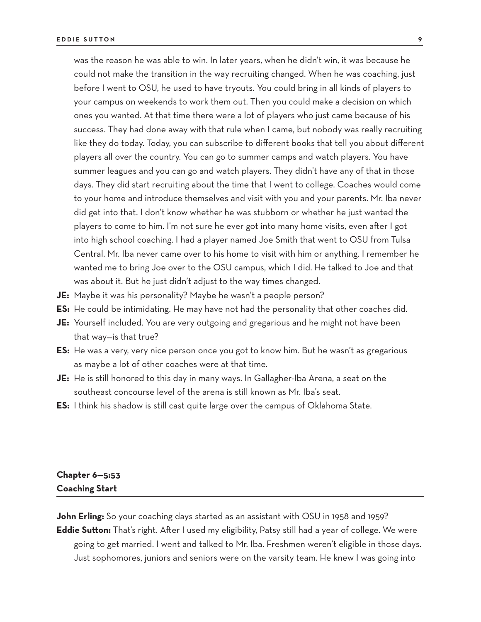was the reason he was able to win. In later years, when he didn't win, it was because he could not make the transition in the way recruiting changed. When he was coaching, just before I went to OSU, he used to have tryouts. You could bring in all kinds of players to your campus on weekends to work them out. Then you could make a decision on which ones you wanted. At that time there were a lot of players who just came because of his success. They had done away with that rule when I came, but nobody was really recruiting like they do today. Today, you can subscribe to different books that tell you about different players all over the country. You can go to summer camps and watch players. You have summer leagues and you can go and watch players. They didn't have any of that in those days. They did start recruiting about the time that I went to college. Coaches would come to your home and introduce themselves and visit with you and your parents. Mr. Iba never did get into that. I don't know whether he was stubborn or whether he just wanted the players to come to him. I'm not sure he ever got into many home visits, even after I got into high school coaching. I had a player named Joe Smith that went to OSU from Tulsa Central. Mr. Iba never came over to his home to visit with him or anything. I remember he wanted me to bring Joe over to the OSU campus, which I did. He talked to Joe and that was about it. But he just didn't adjust to the way times changed.

- **JE:** Maybe it was his personality? Maybe he wasn't a people person?
- **ES:** He could be intimidating. He may have not had the personality that other coaches did.
- **JE:** Yourself included. You are very outgoing and gregarious and he might not have been that way—is that true?
- **ES:** He was a very, very nice person once you got to know him. But he wasn't as gregarious as maybe a lot of other coaches were at that time.
- **JE:** He is still honored to this day in many ways. In Gallagher-Iba Arena, a seat on the southeast concourse level of the arena is still known as Mr. Iba's seat.
- **ES:** I think his shadow is still cast quite large over the campus of Oklahoma State.

# **Chapter 6—5:53 Coaching Start**

John Erling: So your coaching days started as an assistant with OSU in 1958 and 1959? **Eddie Sutton:** That's right. After I used my eligibility, Patsy still had a year of college. We were going to get married. I went and talked to Mr. Iba. Freshmen weren't eligible in those days. Just sophomores, juniors and seniors were on the varsity team. He knew I was going into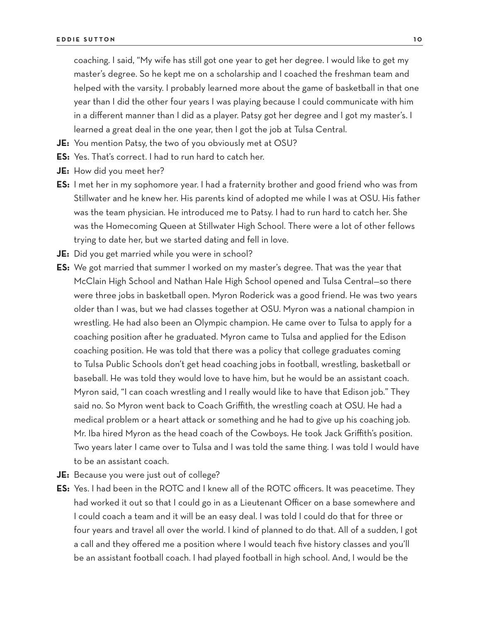coaching. I said, "My wife has still got one year to get her degree. I would like to get my master's degree. So he kept me on a scholarship and I coached the freshman team and helped with the varsity. I probably learned more about the game of basketball in that one year than I did the other four years I was playing because I could communicate with him in a different manner than I did as a player. Patsy got her degree and I got my master's. I learned a great deal in the one year, then I got the job at Tulsa Central.

- **JE:** You mention Patsy, the two of you obviously met at OSU?
- **ES:** Yes. That's correct. I had to run hard to catch her.
- **JE:** How did you meet her?
- **ES:** I met her in my sophomore year. I had a fraternity brother and good friend who was from Stillwater and he knew her. His parents kind of adopted me while I was at OSU. His father was the team physician. He introduced me to Patsy. I had to run hard to catch her. She was the Homecoming Queen at Stillwater High School. There were a lot of other fellows trying to date her, but we started dating and fell in love.
- **JE:** Did you get married while you were in school?
- **ES:** We got married that summer I worked on my master's degree. That was the year that McClain High School and Nathan Hale High School opened and Tulsa Central—so there were three jobs in basketball open. Myron Roderick was a good friend. He was two years older than I was, but we had classes together at OSU. Myron was a national champion in wrestling. He had also been an Olympic champion. He came over to Tulsa to apply for a coaching position after he graduated. Myron came to Tulsa and applied for the Edison coaching position. He was told that there was a policy that college graduates coming to Tulsa Public Schools don't get head coaching jobs in football, wrestling, basketball or baseball. He was told they would love to have him, but he would be an assistant coach. Myron said, "I can coach wrestling and I really would like to have that Edison job." They said no. So Myron went back to Coach Griffith, the wrestling coach at OSU. He had a medical problem or a heart attack or something and he had to give up his coaching job. Mr. Iba hired Myron as the head coach of the Cowboys. He took Jack Griffith's position. Two years later I came over to Tulsa and I was told the same thing. I was told I would have to be an assistant coach.
- **JE:** Because you were just out of college?
- **ES:** Yes. I had been in the ROTC and I knew all of the ROTC officers. It was peacetime. They had worked it out so that I could go in as a Lieutenant Officer on a base somewhere and I could coach a team and it will be an easy deal. I was told I could do that for three or four years and travel all over the world. I kind of planned to do that. All of a sudden, I got a call and they offered me a position where I would teach five history classes and you'll be an assistant football coach. I had played football in high school. And, I would be the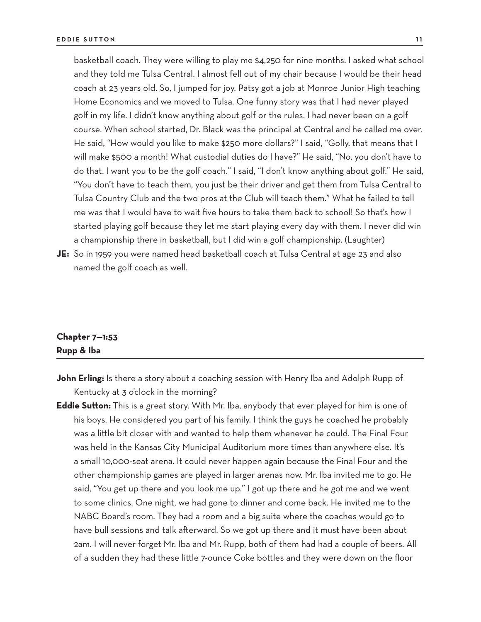basketball coach. They were willing to play me \$4,250 for nine months. I asked what school and they told me Tulsa Central. I almost fell out of my chair because I would be their head coach at 23 years old. So, I jumped for joy. Patsy got a job at Monroe Junior High teaching Home Economics and we moved to Tulsa. One funny story was that I had never played golf in my life. I didn't know anything about golf or the rules. I had never been on a golf course. When school started, Dr. Black was the principal at Central and he called me over. He said, "How would you like to make \$250 more dollars?" I said, "Golly, that means that I will make \$500 a month! What custodial duties do I have?" He said, "No, you don't have to do that. I want you to be the golf coach." I said, "I don't know anything about golf." He said, "You don't have to teach them, you just be their driver and get them from Tulsa Central to Tulsa Country Club and the two pros at the Club will teach them." What he failed to tell me was that I would have to wait five hours to take them back to school! So that's how I started playing golf because they let me start playing every day with them. I never did win a championship there in basketball, but I did win a golf championship. (Laughter)

**JE:** So in 1959 you were named head basketball coach at Tulsa Central at age 23 and also named the golf coach as well.

# **Chapter 7—1:53 Rupp & Iba**

- John Erling: Is there a story about a coaching session with Henry Iba and Adolph Rupp of Kentucky at 3 o'clock in the morning?
- **Eddie Sutton:** This is a great story. With Mr. Iba, anybody that ever played for him is one of his boys. He considered you part of his family. I think the guys he coached he probably was a little bit closer with and wanted to help them whenever he could. The Final Four was held in the Kansas City Municipal Auditorium more times than anywhere else. It's a small 10,000-seat arena. It could never happen again because the Final Four and the other championship games are played in larger arenas now. Mr. Iba invited me to go. He said, "You get up there and you look me up." I got up there and he got me and we went to some clinics. One night, we had gone to dinner and come back. He invited me to the NABC Board's room. They had a room and a big suite where the coaches would go to have bull sessions and talk afterward. So we got up there and it must have been about 2am. I will never forget Mr. Iba and Mr. Rupp, both of them had had a couple of beers. All of a sudden they had these little 7-ounce Coke bottles and they were down on the floor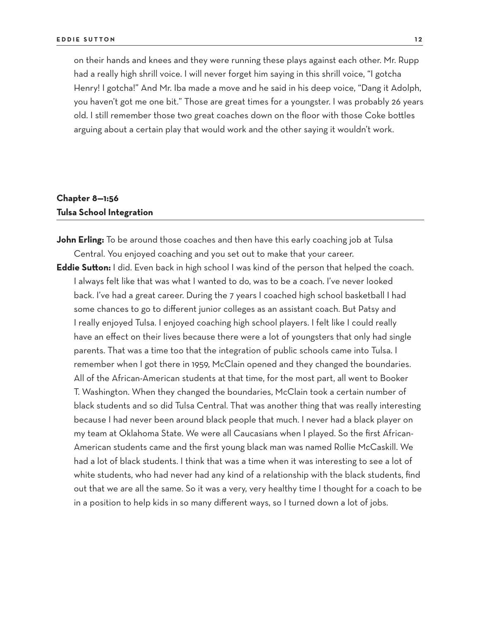on their hands and knees and they were running these plays against each other. Mr. Rupp had a really high shrill voice. I will never forget him saying in this shrill voice, "I gotcha Henry! I gotcha!" And Mr. Iba made a move and he said in his deep voice, "Dang it Adolph, you haven't got me one bit." Those are great times for a youngster. I was probably 26 years old. I still remember those two great coaches down on the floor with those Coke bottles arguing about a certain play that would work and the other saying it wouldn't work.

# **Chapter 8—1:56 Tulsa School Integration**

- **John Erling:** To be around those coaches and then have this early coaching job at Tulsa Central. You enjoyed coaching and you set out to make that your career.
- **Eddie Sutton:** I did. Even back in high school I was kind of the person that helped the coach. I always felt like that was what I wanted to do, was to be a coach. I've never looked back. I've had a great career. During the 7 years I coached high school basketball I had some chances to go to different junior colleges as an assistant coach. But Patsy and I really enjoyed Tulsa. I enjoyed coaching high school players. I felt like I could really have an effect on their lives because there were a lot of youngsters that only had single parents. That was a time too that the integration of public schools came into Tulsa. I remember when I got there in 1959, McClain opened and they changed the boundaries. All of the African-American students at that time, for the most part, all went to Booker T. Washington. When they changed the boundaries, McClain took a certain number of black students and so did Tulsa Central. That was another thing that was really interesting because I had never been around black people that much. I never had a black player on my team at Oklahoma State. We were all Caucasians when I played. So the first African-American students came and the first young black man was named Rollie McCaskill. We had a lot of black students. I think that was a time when it was interesting to see a lot of white students, who had never had any kind of a relationship with the black students, find out that we are all the same. So it was a very, very healthy time I thought for a coach to be in a position to help kids in so many different ways, so I turned down a lot of jobs.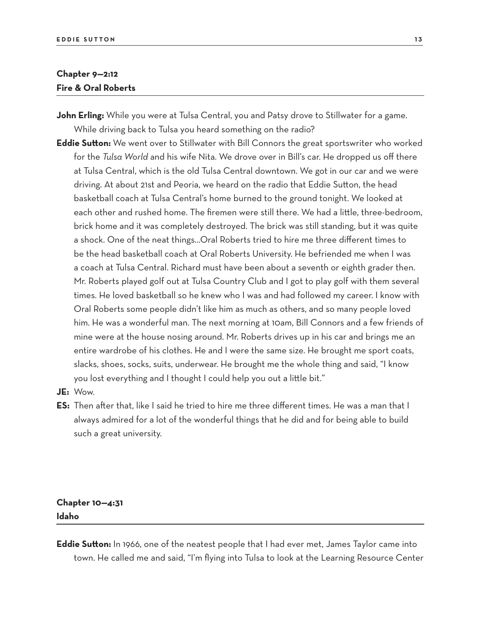# **Chapter 9—2:12 Fire & Oral Roberts**

- **John Erling:** While you were at Tulsa Central, you and Patsy drove to Stillwater for a game. While driving back to Tulsa you heard something on the radio?
- **Eddie Sutton:** We went over to Stillwater with Bill Connors the great sportswriter who worked for the *Tulsa World* and his wife Nita. We drove over in Bill's car. He dropped us off there at Tulsa Central, which is the old Tulsa Central downtown. We got in our car and we were driving. At about 21st and Peoria, we heard on the radio that Eddie Sutton, the head basketball coach at Tulsa Central's home burned to the ground tonight. We looked at each other and rushed home. The firemen were still there. We had a little, three-bedroom, brick home and it was completely destroyed. The brick was still standing, but it was quite a shock. One of the neat things…Oral Roberts tried to hire me three different times to be the head basketball coach at Oral Roberts University. He befriended me when I was a coach at Tulsa Central. Richard must have been about a seventh or eighth grader then. Mr. Roberts played golf out at Tulsa Country Club and I got to play golf with them several times. He loved basketball so he knew who I was and had followed my career. I know with Oral Roberts some people didn't like him as much as others, and so many people loved him. He was a wonderful man. The next morning at 10am, Bill Connors and a few friends of mine were at the house nosing around. Mr. Roberts drives up in his car and brings me an entire wardrobe of his clothes. He and I were the same size. He brought me sport coats, slacks, shoes, socks, suits, underwear. He brought me the whole thing and said, "I know you lost everything and I thought I could help you out a little bit."
- **JE:** Wow.
- **ES:** Then after that, like I said he tried to hire me three different times. He was a man that I always admired for a lot of the wonderful things that he did and for being able to build such a great university.

# **Chapter 10—4:31 Idaho**

**Eddie Sutton:** In 1966, one of the neatest people that I had ever met, James Taylor came into town. He called me and said, "I'm flying into Tulsa to look at the Learning Resource Center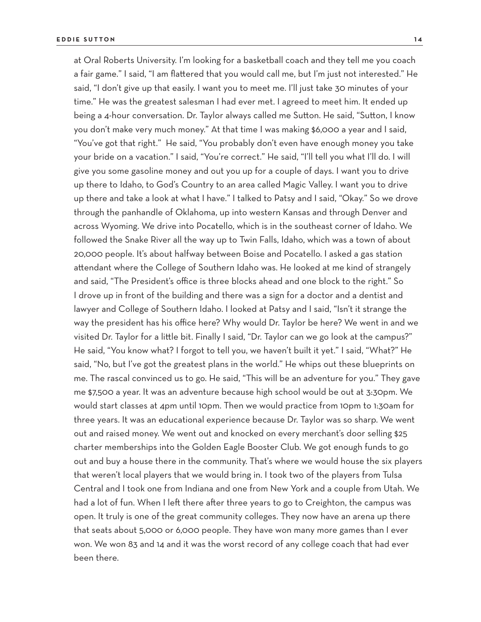at Oral Roberts University. I'm looking for a basketball coach and they tell me you coach a fair game." I said, "I am flattered that you would call me, but I'm just not interested." He said, "I don't give up that easily. I want you to meet me. I'll just take 30 minutes of your time." He was the greatest salesman I had ever met. I agreed to meet him. It ended up being a 4-hour conversation. Dr. Taylor always called me Sutton. He said, "Sutton, I know you don't make very much money." At that time I was making \$6,000 a year and I said, "You've got that right." He said, "You probably don't even have enough money you take your bride on a vacation." I said, "You're correct." He said, "I'll tell you what I'll do. I will give you some gasoline money and out you up for a couple of days. I want you to drive up there to Idaho, to God's Country to an area called Magic Valley. I want you to drive up there and take a look at what I have." I talked to Patsy and I said, "Okay." So we drove through the panhandle of Oklahoma, up into western Kansas and through Denver and across Wyoming. We drive into Pocatello, which is in the southeast corner of Idaho. We followed the Snake River all the way up to Twin Falls, Idaho, which was a town of about 20,000 people. It's about halfway between Boise and Pocatello. I asked a gas station attendant where the College of Southern Idaho was. He looked at me kind of strangely and said, "The President's office is three blocks ahead and one block to the right." So I drove up in front of the building and there was a sign for a doctor and a dentist and lawyer and College of Southern Idaho. I looked at Patsy and I said, "Isn't it strange the way the president has his office here? Why would Dr. Taylor be here? We went in and we visited Dr. Taylor for a little bit. Finally I said, "Dr. Taylor can we go look at the campus?" He said, "You know what? I forgot to tell you, we haven't built it yet." I said, "What?" He said, "No, but I've got the greatest plans in the world." He whips out these blueprints on me. The rascal convinced us to go. He said, "This will be an adventure for you." They gave me \$7,500 a year. It was an adventure because high school would be out at 3:30pm. We would start classes at 4pm until 10pm. Then we would practice from 10pm to 1:30am for three years. It was an educational experience because Dr. Taylor was so sharp. We went out and raised money. We went out and knocked on every merchant's door selling \$25 charter memberships into the Golden Eagle Booster Club. We got enough funds to go out and buy a house there in the community. That's where we would house the six players that weren't local players that we would bring in. I took two of the players from Tulsa Central and I took one from Indiana and one from New York and a couple from Utah. We had a lot of fun. When I left there after three years to go to Creighton, the campus was open. It truly is one of the great community colleges. They now have an arena up there that seats about 5,000 or 6,000 people. They have won many more games than I ever won. We won 83 and 14 and it was the worst record of any college coach that had ever been there.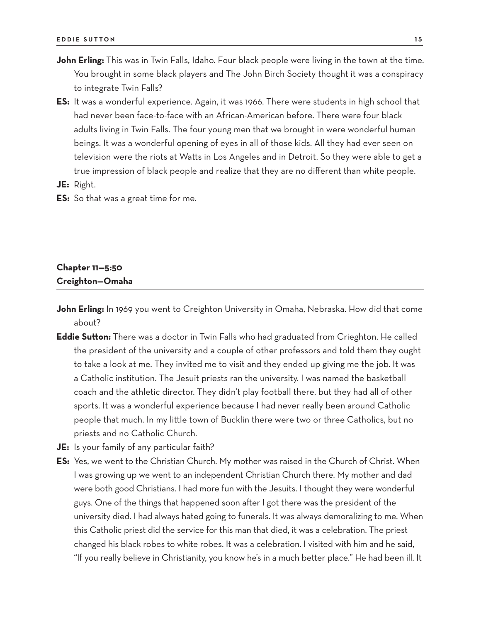- **John Erling:** This was in Twin Falls, Idaho. Four black people were living in the town at the time. You brought in some black players and The John Birch Society thought it was a conspiracy to integrate Twin Falls?
- **ES:** It was a wonderful experience. Again, it was 1966. There were students in high school that had never been face-to-face with an African-American before. There were four black adults living in Twin Falls. The four young men that we brought in were wonderful human beings. It was a wonderful opening of eyes in all of those kids. All they had ever seen on television were the riots at Watts in Los Angeles and in Detroit. So they were able to get a true impression of black people and realize that they are no different than white people.
- **JE:** Right.
- **ES:** So that was a great time for me.

# **Chapter 11—5:50 Creighton—Omaha**

- **John Erling:** In 1969 you went to Creighton University in Omaha, Nebraska. How did that come about?
- **Eddie Sutton:** There was a doctor in Twin Falls who had graduated from Crieghton. He called the president of the university and a couple of other professors and told them they ought to take a look at me. They invited me to visit and they ended up giving me the job. It was a Catholic institution. The Jesuit priests ran the university. I was named the basketball coach and the athletic director. They didn't play football there, but they had all of other sports. It was a wonderful experience because I had never really been around Catholic people that much. In my little town of Bucklin there were two or three Catholics, but no priests and no Catholic Church.
- **JE:** Is your family of any particular faith?
- **ES:** Yes, we went to the Christian Church. My mother was raised in the Church of Christ. When I was growing up we went to an independent Christian Church there. My mother and dad were both good Christians. I had more fun with the Jesuits. I thought they were wonderful guys. One of the things that happened soon after I got there was the president of the university died. I had always hated going to funerals. It was always demoralizing to me. When this Catholic priest did the service for this man that died, it was a celebration. The priest changed his black robes to white robes. It was a celebration. I visited with him and he said, "If you really believe in Christianity, you know he's in a much better place." He had been ill. It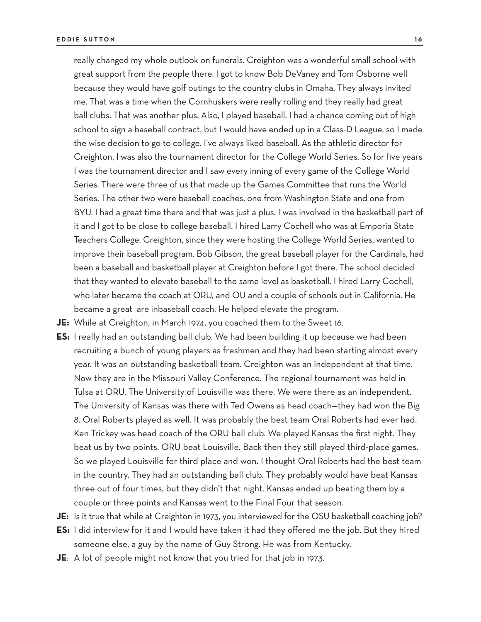really changed my whole outlook on funerals. Creighton was a wonderful small school with great support from the people there. I got to know Bob DeVaney and Tom Osborne well because they would have golf outings to the country clubs in Omaha. They always invited me. That was a time when the Cornhuskers were really rolling and they really had great ball clubs. That was another plus. Also, I played baseball. I had a chance coming out of high school to sign a baseball contract, but I would have ended up in a Class-D League, so I made the wise decision to go to college. I've always liked baseball. As the athletic director for Creighton, I was also the tournament director for the College World Series. So for five years I was the tournament director and I saw every inning of every game of the College World Series. There were three of us that made up the Games Committee that runs the World Series. The other two were baseball coaches, one from Washington State and one from BYU. I had a great time there and that was just a plus. I was involved in the basketball part of it and I got to be close to college baseball. I hired Larry Cochell who was at Emporia State Teachers College. Creighton, since they were hosting the College World Series, wanted to improve their baseball program. Bob Gibson, the great baseball player for the Cardinals, had been a baseball and basketball player at Creighton before I got there. The school decided that they wanted to elevate baseball to the same level as basketball. I hired Larry Cochell, who later became the coach at ORU, and OU and a couple of schools out in California. He became a great are inbaseball coach. He helped elevate the program.

**JE:** While at Creighton, in March 1974, you coached them to the Sweet 16.

- **ES:** I really had an outstanding ball club. We had been building it up because we had been recruiting a bunch of young players as freshmen and they had been starting almost every year. It was an outstanding basketball team. Creighton was an independent at that time. Now they are in the Missouri Valley Conference. The regional tournament was held in Tulsa at ORU. The University of Louisville was there. We were there as an independent. The University of Kansas was there with Ted Owens as head coach—they had won the Big 8. Oral Roberts played as well. It was probably the best team Oral Roberts had ever had. Ken Trickey was head coach of the ORU ball club. We played Kansas the first night. They beat us by two points. ORU beat Louisville. Back then they still played third-place games. So we played Louisville for third place and won. I thought Oral Roberts had the best team in the country. They had an outstanding ball club. They probably would have beat Kansas three out of four times, but they didn't that night. Kansas ended up beating them by a couple or three points and Kansas went to the Final Four that season.
- **JE:** Is it true that while at Creighton in 1973, you interviewed for the OSU basketball coaching job?
- **ES:** I did interview for it and I would have taken it had they offered me the job. But they hired someone else, a guy by the name of Guy Strong. He was from Kentucky.
- **JE**: A lot of people might not know that you tried for that job in 1973.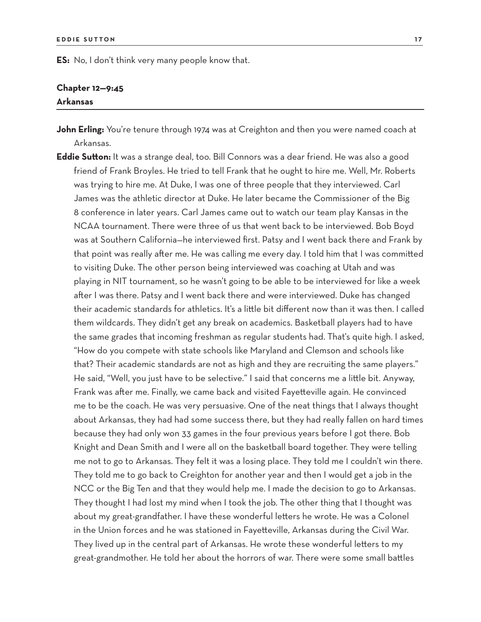**ES:** No, I don't think very many people know that.

#### **Chapter 12—9:45 Arkansas**

- **John Erling:** You're tenure through 1974 was at Creighton and then you were named coach at Arkansas.
- **Eddie Sutton:** It was a strange deal, too. Bill Connors was a dear friend. He was also a good friend of Frank Broyles. He tried to tell Frank that he ought to hire me. Well, Mr. Roberts was trying to hire me. At Duke, I was one of three people that they interviewed. Carl James was the athletic director at Duke. He later became the Commissioner of the Big 8 conference in later years. Carl James came out to watch our team play Kansas in the NCAA tournament. There were three of us that went back to be interviewed. Bob Boyd was at Southern California—he interviewed first. Patsy and I went back there and Frank by that point was really after me. He was calling me every day. I told him that I was committed to visiting Duke. The other person being interviewed was coaching at Utah and was playing in NIT tournament, so he wasn't going to be able to be interviewed for like a week after I was there. Patsy and I went back there and were interviewed. Duke has changed their academic standards for athletics. It's a little bit different now than it was then. I called them wildcards. They didn't get any break on academics. Basketball players had to have the same grades that incoming freshman as regular students had. That's quite high. I asked, "How do you compete with state schools like Maryland and Clemson and schools like that? Their academic standards are not as high and they are recruiting the same players." He said, "Well, you just have to be selective." I said that concerns me a little bit. Anyway, Frank was after me. Finally, we came back and visited Fayetteville again. He convinced me to be the coach. He was very persuasive. One of the neat things that I always thought about Arkansas, they had had some success there, but they had really fallen on hard times because they had only won 33 games in the four previous years before I got there. Bob Knight and Dean Smith and I were all on the basketball board together. They were telling me not to go to Arkansas. They felt it was a losing place. They told me I couldn't win there. They told me to go back to Creighton for another year and then I would get a job in the NCC or the Big Ten and that they would help me. I made the decision to go to Arkansas. They thought I had lost my mind when I took the job. The other thing that I thought was about my great-grandfather. I have these wonderful letters he wrote. He was a Colonel in the Union forces and he was stationed in Fayetteville, Arkansas during the Civil War. They lived up in the central part of Arkansas. He wrote these wonderful letters to my great-grandmother. He told her about the horrors of war. There were some small battles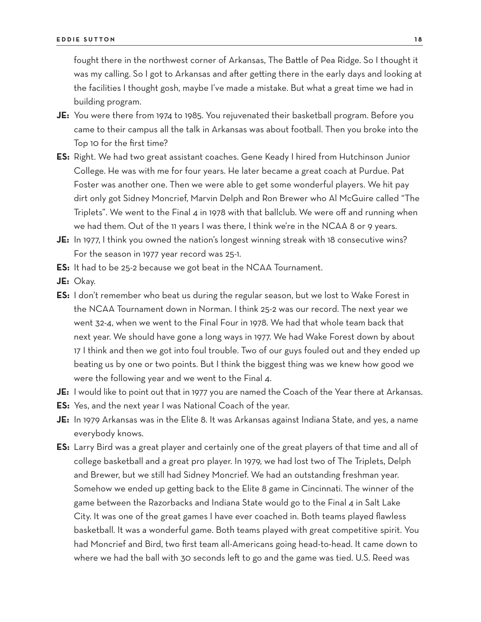fought there in the northwest corner of Arkansas, The Battle of Pea Ridge. So I thought it was my calling. So I got to Arkansas and after getting there in the early days and looking at the facilities I thought gosh, maybe I've made a mistake. But what a great time we had in building program.

- **JE:** You were there from 1974 to 1985. You rejuvenated their basketball program. Before you came to their campus all the talk in Arkansas was about football. Then you broke into the Top 10 for the first time?
- **ES:** Right. We had two great assistant coaches. Gene Keady I hired from Hutchinson Junior College. He was with me for four years. He later became a great coach at Purdue. Pat Foster was another one. Then we were able to get some wonderful players. We hit pay dirt only got Sidney Moncrief, Marvin Delph and Ron Brewer who Al McGuire called "The Triplets". We went to the Final 4 in 1978 with that ballclub. We were off and running when we had them. Out of the 11 years I was there, I think we're in the NCAA 8 or 9 years.
- **JE:** In 1977, I think you owned the nation's longest winning streak with 18 consecutive wins? For the season in 1977 year record was 25-1.
- **ES:** It had to be 25-2 because we got beat in the NCAA Tournament.
- **JE:** Okay.
- **ES:** I don't remember who beat us during the regular season, but we lost to Wake Forest in the NCAA Tournament down in Norman. I think 25-2 was our record. The next year we went 32-4, when we went to the Final Four in 1978. We had that whole team back that next year. We should have gone a long ways in 1977. We had Wake Forest down by about 17 I think and then we got into foul trouble. Two of our guys fouled out and they ended up beating us by one or two points. But I think the biggest thing was we knew how good we were the following year and we went to the Final 4.
- **JE:** I would like to point out that in 1977 you are named the Coach of the Year there at Arkansas.
- **ES:** Yes, and the next year I was National Coach of the year.
- **JE:** In 1979 Arkansas was in the Elite 8. It was Arkansas against Indiana State, and yes, a name everybody knows.
- **ES:** Larry Bird was a great player and certainly one of the great players of that time and all of college basketball and a great pro player. In 1979, we had lost two of The Triplets, Delph and Brewer, but we still had Sidney Moncrief. We had an outstanding freshman year. Somehow we ended up getting back to the Elite 8 game in Cincinnati. The winner of the game between the Razorbacks and Indiana State would go to the Final 4 in Salt Lake City. It was one of the great games I have ever coached in. Both teams played flawless basketball. It was a wonderful game. Both teams played with great competitive spirit. You had Moncrief and Bird, two first team all-Americans going head-to-head. It came down to where we had the ball with 30 seconds left to go and the game was tied. U.S. Reed was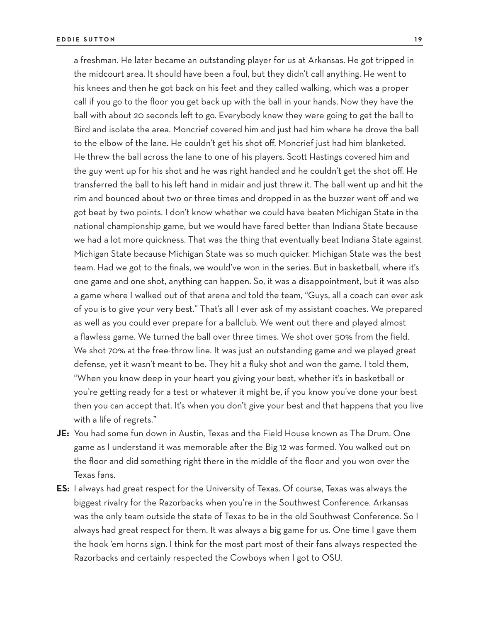a freshman. He later became an outstanding player for us at Arkansas. He got tripped in the midcourt area. It should have been a foul, but they didn't call anything. He went to his knees and then he got back on his feet and they called walking, which was a proper call if you go to the floor you get back up with the ball in your hands. Now they have the ball with about 20 seconds left to go. Everybody knew they were going to get the ball to Bird and isolate the area. Moncrief covered him and just had him where he drove the ball to the elbow of the lane. He couldn't get his shot off. Moncrief just had him blanketed. He threw the ball across the lane to one of his players. Scott Hastings covered him and the guy went up for his shot and he was right handed and he couldn't get the shot off. He transferred the ball to his left hand in midair and just threw it. The ball went up and hit the rim and bounced about two or three times and dropped in as the buzzer went off and we got beat by two points. I don't know whether we could have beaten Michigan State in the national championship game, but we would have fared better than Indiana State because we had a lot more quickness. That was the thing that eventually beat Indiana State against Michigan State because Michigan State was so much quicker. Michigan State was the best team. Had we got to the finals, we would've won in the series. But in basketball, where it's one game and one shot, anything can happen. So, it was a disappointment, but it was also a game where I walked out of that arena and told the team, "Guys, all a coach can ever ask of you is to give your very best." That's all I ever ask of my assistant coaches. We prepared as well as you could ever prepare for a ballclub. We went out there and played almost a flawless game. We turned the ball over three times. We shot over 50% from the field. We shot 70% at the free-throw line. It was just an outstanding game and we played great defense, yet it wasn't meant to be. They hit a fluky shot and won the game. I told them, "When you know deep in your heart you giving your best, whether it's in basketball or you're getting ready for a test or whatever it might be, if you know you've done your best then you can accept that. It's when you don't give your best and that happens that you live with a life of regrets."

- **JE:** You had some fun down in Austin, Texas and the Field House known as The Drum. One game as I understand it was memorable after the Big 12 was formed. You walked out on the floor and did something right there in the middle of the floor and you won over the Texas fans.
- **ES:** I always had great respect for the University of Texas. Of course, Texas was always the biggest rivalry for the Razorbacks when you're in the Southwest Conference. Arkansas was the only team outside the state of Texas to be in the old Southwest Conference. So I always had great respect for them. It was always a big game for us. One time I gave them the hook 'em horns sign. I think for the most part most of their fans always respected the Razorbacks and certainly respected the Cowboys when I got to OSU.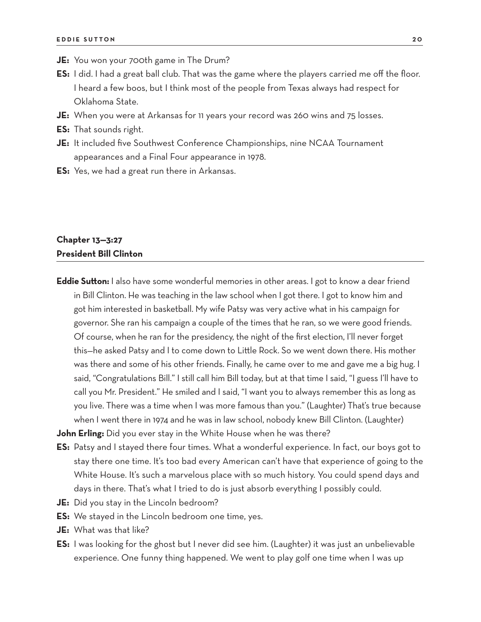**JE:** You won your 700th game in The Drum?

- **ES:** I did. I had a great ball club. That was the game where the players carried me off the floor. I heard a few boos, but I think most of the people from Texas always had respect for Oklahoma State.
- **JE:** When you were at Arkansas for 11 years your record was 260 wins and 75 losses.
- **ES:** That sounds right.
- **JE:** It included five Southwest Conference Championships, nine NCAA Tournament appearances and a Final Four appearance in 1978.
- **ES:** Yes, we had a great run there in Arkansas.

# **Chapter 13—3:27 President Bill Clinton**

**Eddie Sutton:** I also have some wonderful memories in other areas. I got to know a dear friend in Bill Clinton. He was teaching in the law school when I got there. I got to know him and got him interested in basketball. My wife Patsy was very active what in his campaign for governor. She ran his campaign a couple of the times that he ran, so we were good friends. Of course, when he ran for the presidency, the night of the first election, I'll never forget this—he asked Patsy and I to come down to Little Rock. So we went down there. His mother was there and some of his other friends. Finally, he came over to me and gave me a big hug. I said, "Congratulations Bill." I still call him Bill today, but at that time I said, "I guess I'll have to call you Mr. President." He smiled and I said, "I want you to always remember this as long as you live. There was a time when I was more famous than you." (Laughter) That's true because when I went there in 1974 and he was in law school, nobody knew Bill Clinton. (Laughter)

**John Erling:** Did you ever stay in the White House when he was there?

- **ES:** Patsy and I stayed there four times. What a wonderful experience. In fact, our boys got to stay there one time. It's too bad every American can't have that experience of going to the White House. It's such a marvelous place with so much history. You could spend days and days in there. That's what I tried to do is just absorb everything I possibly could.
- **JE:** Did you stay in the Lincoln bedroom?
- **ES:** We stayed in the Lincoln bedroom one time, yes.
- **JE:** What was that like?
- **ES:** I was looking for the ghost but I never did see him. (Laughter) it was just an unbelievable experience. One funny thing happened. We went to play golf one time when I was up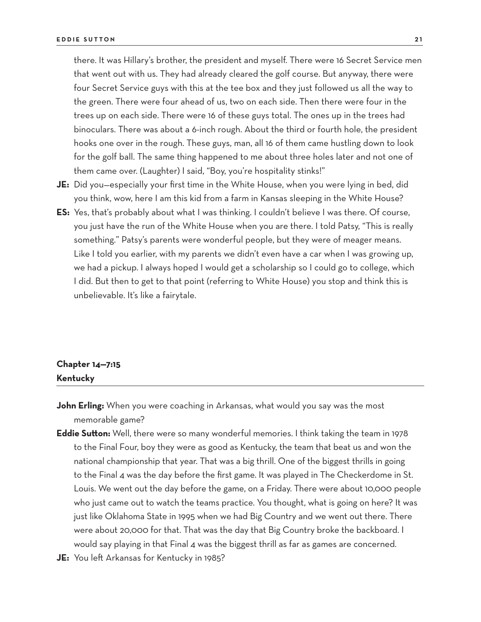there. It was Hillary's brother, the president and myself. There were 16 Secret Service men that went out with us. They had already cleared the golf course. But anyway, there were four Secret Service guys with this at the tee box and they just followed us all the way to the green. There were four ahead of us, two on each side. Then there were four in the trees up on each side. There were 16 of these guys total. The ones up in the trees had binoculars. There was about a 6-inch rough. About the third or fourth hole, the president hooks one over in the rough. These guys, man, all 16 of them came hustling down to look for the golf ball. The same thing happened to me about three holes later and not one of them came over. (Laughter) I said, "Boy, you're hospitality stinks!"

- **JE:** Did you—especially your first time in the White House, when you were lying in bed, did you think, wow, here I am this kid from a farm in Kansas sleeping in the White House?
- **ES:** Yes, that's probably about what I was thinking. I couldn't believe I was there. Of course, you just have the run of the White House when you are there. I told Patsy, "This is really something." Patsy's parents were wonderful people, but they were of meager means. Like I told you earlier, with my parents we didn't even have a car when I was growing up, we had a pickup. I always hoped I would get a scholarship so I could go to college, which I did. But then to get to that point (referring to White House) you stop and think this is unbelievable. It's like a fairytale.

#### **Chapter 14—7:15 Kentucky**

- **John Erling:** When you were coaching in Arkansas, what would you say was the most memorable game?
- **Eddie Sutton:** Well, there were so many wonderful memories. I think taking the team in 1978 to the Final Four, boy they were as good as Kentucky, the team that beat us and won the national championship that year. That was a big thrill. One of the biggest thrills in going to the Final 4 was the day before the first game. It was played in The Checkerdome in St. Louis. We went out the day before the game, on a Friday. There were about 10,000 people who just came out to watch the teams practice. You thought, what is going on here? It was just like Oklahoma State in 1995 when we had Big Country and we went out there. There were about 20,000 for that. That was the day that Big Country broke the backboard. I would say playing in that Final 4 was the biggest thrill as far as games are concerned.
- **JE:** You left Arkansas for Kentucky in 1985?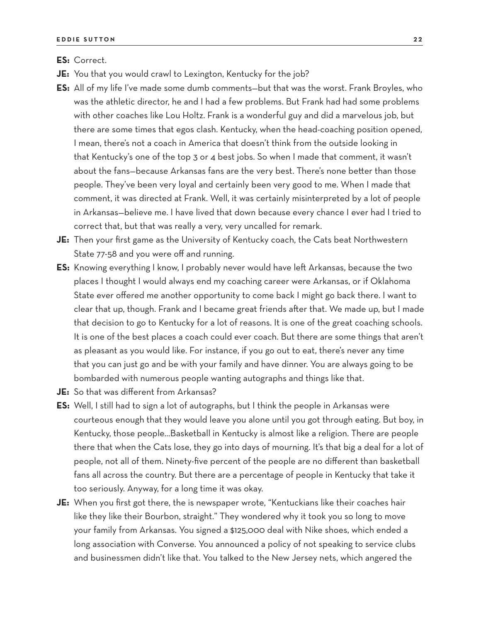**ES:** Correct.

- **JE:** You that you would crawl to Lexington, Kentucky for the job?
- **ES:** All of my life I've made some dumb comments—but that was the worst. Frank Broyles, who was the athletic director, he and I had a few problems. But Frank had had some problems with other coaches like Lou Holtz. Frank is a wonderful guy and did a marvelous job, but there are some times that egos clash. Kentucky, when the head-coaching position opened, I mean, there's not a coach in America that doesn't think from the outside looking in that Kentucky's one of the top 3 or 4 best jobs. So when I made that comment, it wasn't about the fans—because Arkansas fans are the very best. There's none better than those people. They've been very loyal and certainly been very good to me. When I made that comment, it was directed at Frank. Well, it was certainly misinterpreted by a lot of people in Arkansas—believe me. I have lived that down because every chance I ever had I tried to correct that, but that was really a very, very uncalled for remark.
- **JE:** Then your first game as the University of Kentucky coach, the Cats beat Northwestern State 77-58 and you were off and running.
- **ES:** Knowing everything I know, I probably never would have left Arkansas, because the two places I thought I would always end my coaching career were Arkansas, or if Oklahoma State ever offered me another opportunity to come back I might go back there. I want to clear that up, though. Frank and I became great friends after that. We made up, but I made that decision to go to Kentucky for a lot of reasons. It is one of the great coaching schools. It is one of the best places a coach could ever coach. But there are some things that aren't as pleasant as you would like. For instance, if you go out to eat, there's never any time that you can just go and be with your family and have dinner. You are always going to be bombarded with numerous people wanting autographs and things like that.
- **JE:** So that was different from Arkansas?
- **ES:** Well, I still had to sign a lot of autographs, but I think the people in Arkansas were courteous enough that they would leave you alone until you got through eating. But boy, in Kentucky, those people…Basketball in Kentucky is almost like a religion. There are people there that when the Cats lose, they go into days of mourning. It's that big a deal for a lot of people, not all of them. Ninety-five percent of the people are no different than basketball fans all across the country. But there are a percentage of people in Kentucky that take it too seriously. Anyway, for a long time it was okay.
- **JE:** When you first got there, the is newspaper wrote, "Kentuckians like their coaches hair like they like their Bourbon, straight." They wondered why it took you so long to move your family from Arkansas. You signed a \$125,000 deal with Nike shoes, which ended a long association with Converse. You announced a policy of not speaking to service clubs and businessmen didn't like that. You talked to the New Jersey nets, which angered the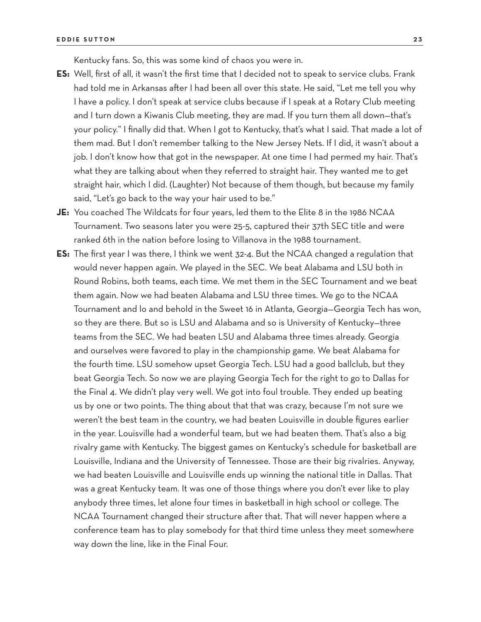Kentucky fans. So, this was some kind of chaos you were in.

- **ES:** Well, first of all, it wasn't the first time that I decided not to speak to service clubs. Frank had told me in Arkansas after I had been all over this state. He said, "Let me tell you why I have a policy. I don't speak at service clubs because if I speak at a Rotary Club meeting and I turn down a Kiwanis Club meeting, they are mad. If you turn them all down—that's your policy." I finally did that. When I got to Kentucky, that's what I said. That made a lot of them mad. But I don't remember talking to the New Jersey Nets. If I did, it wasn't about a job. I don't know how that got in the newspaper. At one time I had permed my hair. That's what they are talking about when they referred to straight hair. They wanted me to get straight hair, which I did. (Laughter) Not because of them though, but because my family said, "Let's go back to the way your hair used to be."
- **JE:** You coached The Wildcats for four years, led them to the Elite 8 in the 1986 NCAA Tournament. Two seasons later you were 25-5, captured their 37th SEC title and were ranked 6th in the nation before losing to Villanova in the 1988 tournament.
- **ES:** The first year I was there, I think we went 32-4. But the NCAA changed a regulation that would never happen again. We played in the SEC. We beat Alabama and LSU both in Round Robins, both teams, each time. We met them in the SEC Tournament and we beat them again. Now we had beaten Alabama and LSU three times. We go to the NCAA Tournament and lo and behold in the Sweet 16 in Atlanta, Georgia—Georgia Tech has won, so they are there. But so is LSU and Alabama and so is University of Kentucky—three teams from the SEC. We had beaten LSU and Alabama three times already. Georgia and ourselves were favored to play in the championship game. We beat Alabama for the fourth time. LSU somehow upset Georgia Tech. LSU had a good ballclub, but they beat Georgia Tech. So now we are playing Georgia Tech for the right to go to Dallas for the Final 4. We didn't play very well. We got into foul trouble. They ended up beating us by one or two points. The thing about that that was crazy, because I'm not sure we weren't the best team in the country, we had beaten Louisville in double figures earlier in the year. Louisville had a wonderful team, but we had beaten them. That's also a big rivalry game with Kentucky. The biggest games on Kentucky's schedule for basketball are Louisville, Indiana and the University of Tennessee. Those are their big rivalries. Anyway, we had beaten Louisville and Louisville ends up winning the national title in Dallas. That was a great Kentucky team. It was one of those things where you don't ever like to play anybody three times, let alone four times in basketball in high school or college. The NCAA Tournament changed their structure after that. That will never happen where a conference team has to play somebody for that third time unless they meet somewhere way down the line, like in the Final Four.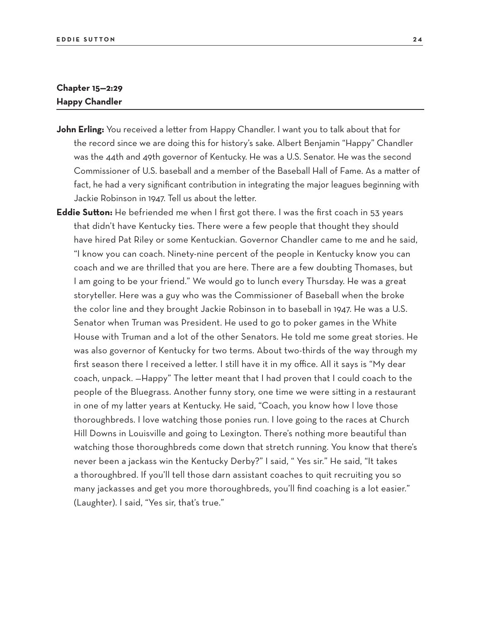# **Chapter 15—2:29 Happy Chandler**

- John Erling: You received a letter from Happy Chandler. I want you to talk about that for the record since we are doing this for history's sake. Albert Benjamin "Happy" Chandler was the 44th and 49th governor of Kentucky. He was a U.S. Senator. He was the second Commissioner of U.S. baseball and a member of the Baseball Hall of Fame. As a matter of fact, he had a very significant contribution in integrating the major leagues beginning with Jackie Robinson in 1947. Tell us about the letter.
- **Eddie Sutton:** He befriended me when I first got there. I was the first coach in 53 years that didn't have Kentucky ties. There were a few people that thought they should have hired Pat Riley or some Kentuckian. Governor Chandler came to me and he said, "I know you can coach. Ninety-nine percent of the people in Kentucky know you can coach and we are thrilled that you are here. There are a few doubting Thomases, but I am going to be your friend." We would go to lunch every Thursday. He was a great storyteller. Here was a guy who was the Commissioner of Baseball when the broke the color line and they brought Jackie Robinson in to baseball in 1947. He was a U.S. Senator when Truman was President. He used to go to poker games in the White House with Truman and a lot of the other Senators. He told me some great stories. He was also governor of Kentucky for two terms. About two-thirds of the way through my first season there I received a letter. I still have it in my office. All it says is "My dear coach, unpack. —Happy" The letter meant that I had proven that I could coach to the people of the Bluegrass. Another funny story, one time we were sitting in a restaurant in one of my latter years at Kentucky. He said, "Coach, you know how I love those thoroughbreds. I love watching those ponies run. I love going to the races at Church Hill Downs in Louisville and going to Lexington. There's nothing more beautiful than watching those thoroughbreds come down that stretch running. You know that there's never been a jackass win the Kentucky Derby?" I said, " Yes sir." He said, "It takes a thoroughbred. If you'll tell those darn assistant coaches to quit recruiting you so many jackasses and get you more thoroughbreds, you'll find coaching is a lot easier." (Laughter). I said, "Yes sir, that's true."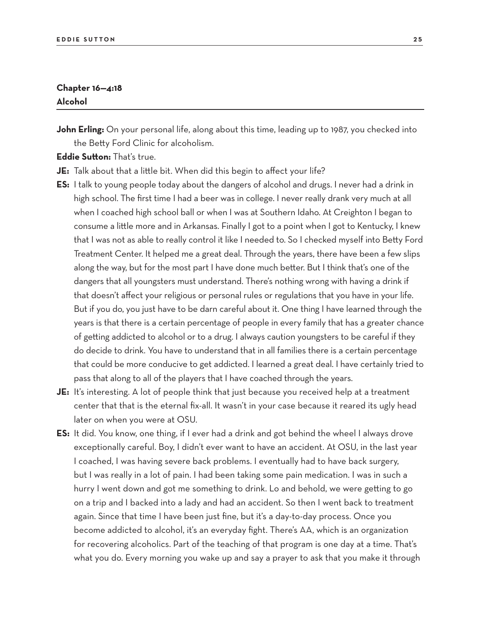| Chapter 16-4:18 |  |  |
|-----------------|--|--|
| Alcohol         |  |  |

John Erling: On your personal life, along about this time, leading up to 1987, you checked into the Betty Ford Clinic for alcoholism.

#### **Eddie Sutton:** That's true.

- **JE:** Talk about that a little bit. When did this begin to affect your life?
- **ES:** I talk to young people today about the dangers of alcohol and drugs. I never had a drink in high school. The first time I had a beer was in college. I never really drank very much at all when I coached high school ball or when I was at Southern Idaho. At Creighton I began to consume a little more and in Arkansas. Finally I got to a point when I got to Kentucky, I knew that I was not as able to really control it like I needed to. So I checked myself into Betty Ford Treatment Center. It helped me a great deal. Through the years, there have been a few slips along the way, but for the most part I have done much better. But I think that's one of the dangers that all youngsters must understand. There's nothing wrong with having a drink if that doesn't affect your religious or personal rules or regulations that you have in your life. But if you do, you just have to be darn careful about it. One thing I have learned through the years is that there is a certain percentage of people in every family that has a greater chance of getting addicted to alcohol or to a drug. I always caution youngsters to be careful if they do decide to drink. You have to understand that in all families there is a certain percentage that could be more conducive to get addicted. I learned a great deal. I have certainly tried to pass that along to all of the players that I have coached through the years.
- **JE:** It's interesting. A lot of people think that just because you received help at a treatment center that that is the eternal fix-all. It wasn't in your case because it reared its ugly head later on when you were at OSU.
- **ES:** It did. You know, one thing, if I ever had a drink and got behind the wheel I always drove exceptionally careful. Boy, I didn't ever want to have an accident. At OSU, in the last year I coached, I was having severe back problems. I eventually had to have back surgery, but I was really in a lot of pain. I had been taking some pain medication. I was in such a hurry I went down and got me something to drink. Lo and behold, we were getting to go on a trip and I backed into a lady and had an accident. So then I went back to treatment again. Since that time I have been just fine, but it's a day-to-day process. Once you become addicted to alcohol, it's an everyday fight. There's AA, which is an organization for recovering alcoholics. Part of the teaching of that program is one day at a time. That's what you do. Every morning you wake up and say a prayer to ask that you make it through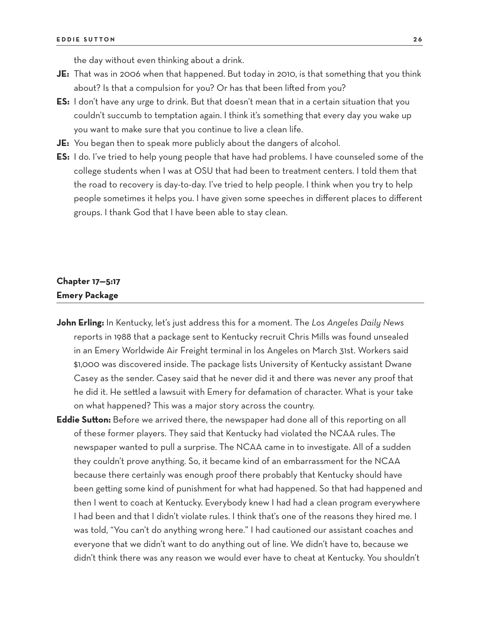the day without even thinking about a drink.

- **JE:** That was in 2006 when that happened. But today in 2010, is that something that you think about? Is that a compulsion for you? Or has that been lifted from you?
- **ES:** I don't have any urge to drink. But that doesn't mean that in a certain situation that you couldn't succumb to temptation again. I think it's something that every day you wake up you want to make sure that you continue to live a clean life.
- **JE:** You began then to speak more publicly about the dangers of alcohol.
- **ES:** I do. I've tried to help young people that have had problems. I have counseled some of the college students when I was at OSU that had been to treatment centers. I told them that the road to recovery is day-to-day. I've tried to help people. I think when you try to help people sometimes it helps you. I have given some speeches in different places to different groups. I thank God that I have been able to stay clean.

## **Chapter 17—5:17 Emery Package**

- **John Erling:** In Kentucky, let's just address this for a moment. The *Los Angeles Daily News*  reports in 1988 that a package sent to Kentucky recruit Chris Mills was found unsealed in an Emery Worldwide Air Freight terminal in los Angeles on March 31st. Workers said \$1,000 was discovered inside. The package lists University of Kentucky assistant Dwane Casey as the sender. Casey said that he never did it and there was never any proof that he did it. He settled a lawsuit with Emery for defamation of character. What is your take on what happened? This was a major story across the country.
- **Eddie Sutton:** Before we arrived there, the newspaper had done all of this reporting on all of these former players. They said that Kentucky had violated the NCAA rules. The newspaper wanted to pull a surprise. The NCAA came in to investigate. All of a sudden they couldn't prove anything. So, it became kind of an embarrassment for the NCAA because there certainly was enough proof there probably that Kentucky should have been getting some kind of punishment for what had happened. So that had happened and then I went to coach at Kentucky. Everybody knew I had had a clean program everywhere I had been and that I didn't violate rules. I think that's one of the reasons they hired me. I was told, "You can't do anything wrong here." I had cautioned our assistant coaches and everyone that we didn't want to do anything out of line. We didn't have to, because we didn't think there was any reason we would ever have to cheat at Kentucky. You shouldn't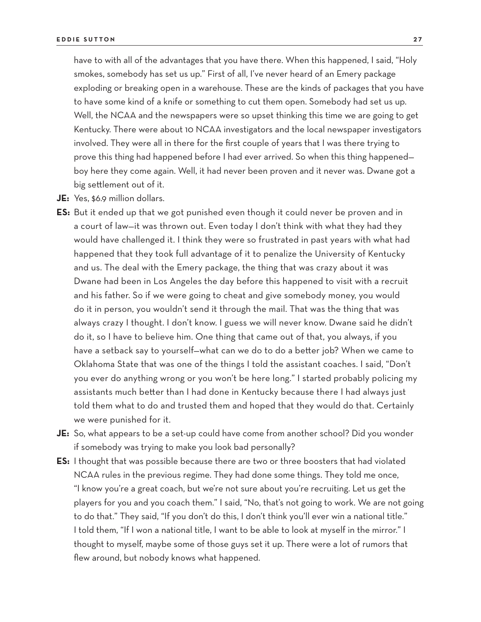have to with all of the advantages that you have there. When this happened, I said, "Holy smokes, somebody has set us up." First of all, I've never heard of an Emery package exploding or breaking open in a warehouse. These are the kinds of packages that you have to have some kind of a knife or something to cut them open. Somebody had set us up. Well, the NCAA and the newspapers were so upset thinking this time we are going to get Kentucky. There were about 10 NCAA investigators and the local newspaper investigators involved. They were all in there for the first couple of years that I was there trying to prove this thing had happened before I had ever arrived. So when this thing happened boy here they come again. Well, it had never been proven and it never was. Dwane got a big settlement out of it.

- **JE:** Yes, \$6.9 million dollars.
- **ES:** But it ended up that we got punished even though it could never be proven and in a court of law—it was thrown out. Even today I don't think with what they had they would have challenged it. I think they were so frustrated in past years with what had happened that they took full advantage of it to penalize the University of Kentucky and us. The deal with the Emery package, the thing that was crazy about it was Dwane had been in Los Angeles the day before this happened to visit with a recruit and his father. So if we were going to cheat and give somebody money, you would do it in person, you wouldn't send it through the mail. That was the thing that was always crazy I thought. I don't know. I guess we will never know. Dwane said he didn't do it, so I have to believe him. One thing that came out of that, you always, if you have a setback say to yourself—what can we do to do a better job? When we came to Oklahoma State that was one of the things I told the assistant coaches. I said, "Don't you ever do anything wrong or you won't be here long." I started probably policing my assistants much better than I had done in Kentucky because there I had always just told them what to do and trusted them and hoped that they would do that. Certainly we were punished for it.
- **JE:** So, what appears to be a set-up could have come from another school? Did you wonder if somebody was trying to make you look bad personally?
- **ES:** I thought that was possible because there are two or three boosters that had violated NCAA rules in the previous regime. They had done some things. They told me once, "I know you're a great coach, but we're not sure about you're recruiting. Let us get the players for you and you coach them." I said, "No, that's not going to work. We are not going to do that." They said, "If you don't do this, I don't think you'll ever win a national title." I told them, "If I won a national title, I want to be able to look at myself in the mirror." I thought to myself, maybe some of those guys set it up. There were a lot of rumors that flew around, but nobody knows what happened.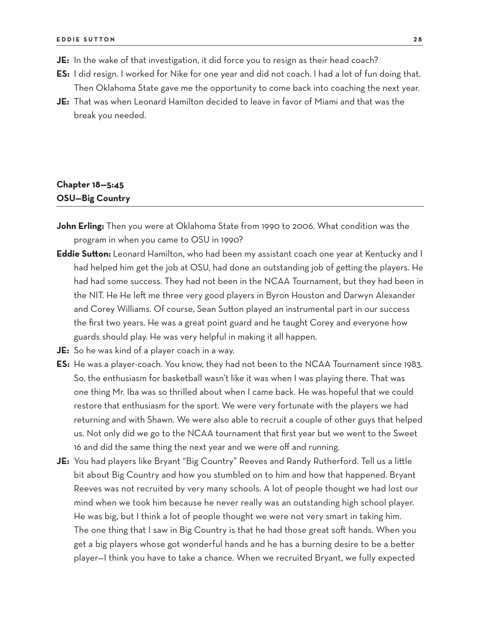- **JE:** In the wake of that investigation, it did force you to resign as their head coach?
- **ES:** I did resign. I worked for Nike for one year and did not coach. I had a lot of fun doing that. Then Oklahoma State gave me the opportunity to come back into coaching the next year.
- **JE:** That was when Leonard Hamilton decided to leave in favor of Miami and that was the break you needed.

## **Chapter 18—5:45 OSU—Big Country**

- **John Erling:** Then you were at Oklahoma State from 1990 to 2006. What condition was the program in when you came to OSU in 1990?
- **Eddie Sutton:** Leonard Hamilton, who had been my assistant coach one year at Kentucky and I had helped him get the job at OSU, had done an outstanding job of getting the players. He had had some success. They had not been in the NCAA Tournament, but they had been in the NIT. He He left me three very good players in Byron Houston and Darwyn Alexander and Corey Williams. Of course, Sean Sutton played an instrumental part in our success the first two years. He was a great point guard and he taught Corey and everyone how guards should play. He was very helpful in making it all happen.
- **JE:** So he was kind of a player coach in a way.
- **ES:** He was a player-coach. You know, they had not been to the NCAA Tournament since 1983. So, the enthusiasm for basketball wasn't like it was when I was playing there. That was one thing Mr. Iba was so thrilled about when I came back. He was hopeful that we could restore that enthusiasm for the sport. We were very fortunate with the players we had returning and with Shawn. We were also able to recruit a couple of other guys that helped us. Not only did we go to the NCAA tournament that first year but we went to the Sweet 16 and did the same thing the next year and we were off and running.
- **JE:** You had players like Bryant "Big Country" Reeves and Randy Rutherford. Tell us a little bit about Big Country and how you stumbled on to him and how that happened. Bryant Reeves was not recruited by very many schools. A lot of people thought we had lost our mind when we took him because he never really was an outstanding high school player. He was big, but I think a lot of people thought we were not very smart in taking him. The one thing that I saw in Big Country is that he had those great soft hands. When you get a big players whose got wonderful hands and he has a burning desire to be a better player—I think you have to take a chance. When we recruited Bryant, we fully expected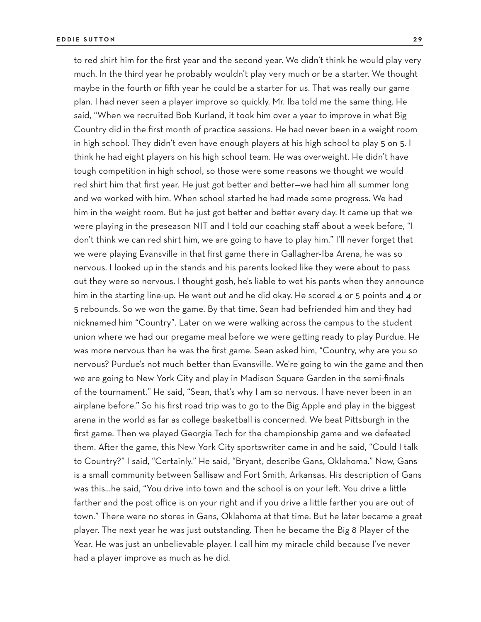to red shirt him for the first year and the second year. We didn't think he would play very much. In the third year he probably wouldn't play very much or be a starter. We thought maybe in the fourth or fifth year he could be a starter for us. That was really our game plan. I had never seen a player improve so quickly. Mr. Iba told me the same thing. He said, "When we recruited Bob Kurland, it took him over a year to improve in what Big Country did in the first month of practice sessions. He had never been in a weight room in high school. They didn't even have enough players at his high school to play 5 on 5. I think he had eight players on his high school team. He was overweight. He didn't have tough competition in high school, so those were some reasons we thought we would red shirt him that first year. He just got better and better—we had him all summer long and we worked with him. When school started he had made some progress. We had him in the weight room. But he just got better and better every day. It came up that we were playing in the preseason NIT and I told our coaching staff about a week before, "I don't think we can red shirt him, we are going to have to play him." I'll never forget that we were playing Evansville in that first game there in Gallagher-Iba Arena, he was so nervous. I looked up in the stands and his parents looked like they were about to pass out they were so nervous. I thought gosh, he's liable to wet his pants when they announce him in the starting line-up. He went out and he did okay. He scored 4 or 5 points and 4 or 5 rebounds. So we won the game. By that time, Sean had befriended him and they had nicknamed him "Country". Later on we were walking across the campus to the student union where we had our pregame meal before we were getting ready to play Purdue. He was more nervous than he was the first game. Sean asked him, "Country, why are you so nervous? Purdue's not much better than Evansville. We're going to win the game and then we are going to New York City and play in Madison Square Garden in the semi-finals of the tournament." He said, "Sean, that's why I am so nervous. I have never been in an airplane before." So his first road trip was to go to the Big Apple and play in the biggest arena in the world as far as college basketball is concerned. We beat Pittsburgh in the first game. Then we played Georgia Tech for the championship game and we defeated them. After the game, this New York City sportswriter came in and he said, "Could I talk to Country?" I said, "Certainly." He said, "Bryant, describe Gans, Oklahoma." Now, Gans is a small community between Sallisaw and Fort Smith, Arkansas. His description of Gans was this…he said, "You drive into town and the school is on your left. You drive a little farther and the post office is on your right and if you drive a little farther you are out of town." There were no stores in Gans, Oklahoma at that time. But he later became a great player. The next year he was just outstanding. Then he became the Big 8 Player of the Year. He was just an unbelievable player. I call him my miracle child because I've never had a player improve as much as he did.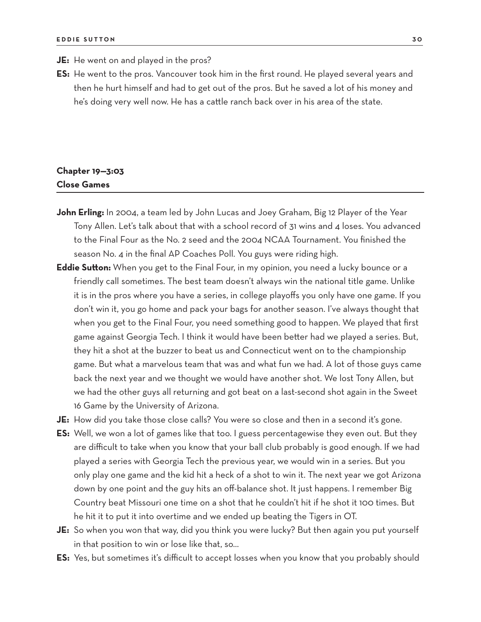- **JE:** He went on and played in the pros?
- **ES:** He went to the pros. Vancouver took him in the first round. He played several years and then he hurt himself and had to get out of the pros. But he saved a lot of his money and he's doing very well now. He has a cattle ranch back over in his area of the state.

# **Chapter 19—3:03 Close Games**

- **John Erling:** In 2004, a team led by John Lucas and Joey Graham, Big 12 Player of the Year Tony Allen. Let's talk about that with a school record of 31 wins and 4 loses. You advanced to the Final Four as the No. 2 seed and the 2004 NCAA Tournament. You finished the season No. 4 in the final AP Coaches Poll. You guys were riding high.
- **Eddie Sutton:** When you get to the Final Four, in my opinion, you need a lucky bounce or a friendly call sometimes. The best team doesn't always win the national title game. Unlike it is in the pros where you have a series, in college playoffs you only have one game. If you don't win it, you go home and pack your bags for another season. I've always thought that when you get to the Final Four, you need something good to happen. We played that first game against Georgia Tech. I think it would have been better had we played a series. But, they hit a shot at the buzzer to beat us and Connecticut went on to the championship game. But what a marvelous team that was and what fun we had. A lot of those guys came back the next year and we thought we would have another shot. We lost Tony Allen, but we had the other guys all returning and got beat on a last-second shot again in the Sweet 16 Game by the University of Arizona.
- **JE:** How did you take those close calls? You were so close and then in a second it's gone.
- **ES:** Well, we won a lot of games like that too. I guess percentagewise they even out. But they are difficult to take when you know that your ball club probably is good enough. If we had played a series with Georgia Tech the previous year, we would win in a series. But you only play one game and the kid hit a heck of a shot to win it. The next year we got Arizona down by one point and the guy hits an off-balance shot. It just happens. I remember Big Country beat Missouri one time on a shot that he couldn't hit if he shot it 100 times. But he hit it to put it into overtime and we ended up beating the Tigers in OT.
- **JE:** So when you won that way, did you think you were lucky? But then again you put yourself in that position to win or lose like that, so…
- **ES:** Yes, but sometimes it's difficult to accept losses when you know that you probably should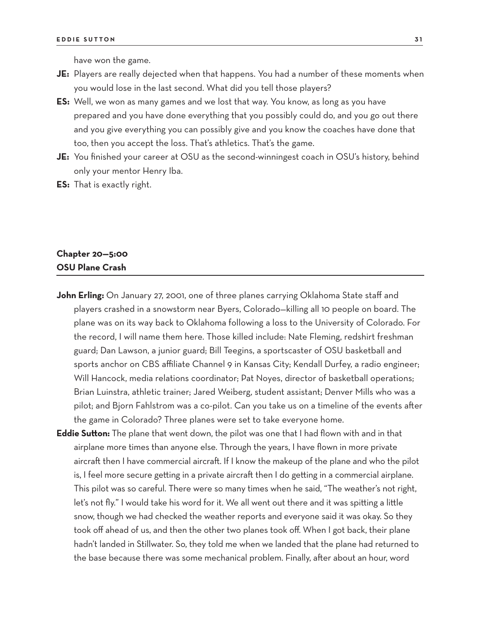have won the game.

- **JE:** Players are really dejected when that happens. You had a number of these moments when you would lose in the last second. What did you tell those players?
- **ES:** Well, we won as many games and we lost that way. You know, as long as you have prepared and you have done everything that you possibly could do, and you go out there and you give everything you can possibly give and you know the coaches have done that too, then you accept the loss. That's athletics. That's the game.
- **JE:** You finished your career at OSU as the second-winningest coach in OSU's history, behind only your mentor Henry Iba.
- **ES:** That is exactly right.

# **Chapter 20—5:00 OSU Plane Crash**

- John Erling: On January 27, 2001, one of three planes carrying Oklahoma State staff and players crashed in a snowstorm near Byers, Colorado—killing all 10 people on board. The plane was on its way back to Oklahoma following a loss to the University of Colorado. For the record, I will name them here. Those killed include: Nate Fleming, redshirt freshman guard; Dan Lawson, a junior guard; Bill Teegins, a sportscaster of OSU basketball and sports anchor on CBS affiliate Channel 9 in Kansas City; Kendall Durfey, a radio engineer; Will Hancock, media relations coordinator; Pat Noyes, director of basketball operations; Brian Luinstra, athletic trainer; Jared Weiberg, student assistant; Denver Mills who was a pilot; and Bjorn Fahlstrom was a co-pilot. Can you take us on a timeline of the events after the game in Colorado? Three planes were set to take everyone home.
- **Eddie Sutton:** The plane that went down, the pilot was one that I had flown with and in that airplane more times than anyone else. Through the years, I have flown in more private aircraft then I have commercial aircraft. If I know the makeup of the plane and who the pilot is, I feel more secure getting in a private aircraft then I do getting in a commercial airplane. This pilot was so careful. There were so many times when he said, "The weather's not right, let's not fly." I would take his word for it. We all went out there and it was spitting a little snow, though we had checked the weather reports and everyone said it was okay. So they took off ahead of us, and then the other two planes took off. When I got back, their plane hadn't landed in Stillwater. So, they told me when we landed that the plane had returned to the base because there was some mechanical problem. Finally, after about an hour, word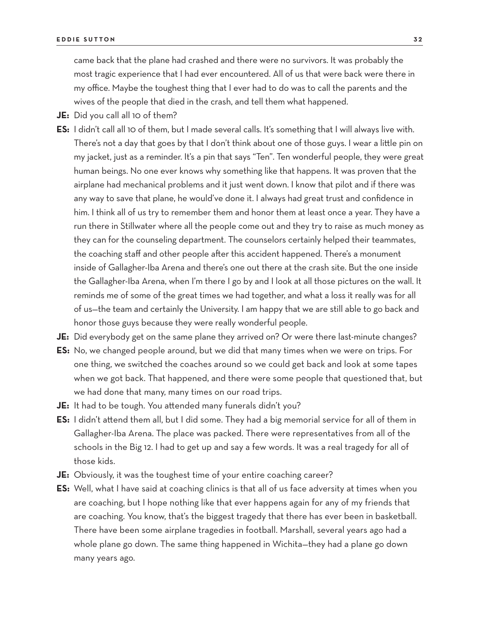came back that the plane had crashed and there were no survivors. It was probably the most tragic experience that I had ever encountered. All of us that were back were there in my office. Maybe the toughest thing that I ever had to do was to call the parents and the wives of the people that died in the crash, and tell them what happened.

- **JE:** Did you call all 10 of them?
- **ES:** I didn't call all 10 of them, but I made several calls. It's something that I will always live with. There's not a day that goes by that I don't think about one of those guys. I wear a little pin on my jacket, just as a reminder. It's a pin that says "Ten". Ten wonderful people, they were great human beings. No one ever knows why something like that happens. It was proven that the airplane had mechanical problems and it just went down. I know that pilot and if there was any way to save that plane, he would've done it. I always had great trust and confidence in him. I think all of us try to remember them and honor them at least once a year. They have a run there in Stillwater where all the people come out and they try to raise as much money as they can for the counseling department. The counselors certainly helped their teammates, the coaching staff and other people after this accident happened. There's a monument inside of Gallagher-Iba Arena and there's one out there at the crash site. But the one inside the Gallagher-Iba Arena, when I'm there I go by and I look at all those pictures on the wall. It reminds me of some of the great times we had together, and what a loss it really was for all of us—the team and certainly the University. I am happy that we are still able to go back and honor those guys because they were really wonderful people.
- **JE:** Did everybody get on the same plane they arrived on? Or were there last-minute changes?
- **ES:** No, we changed people around, but we did that many times when we were on trips. For one thing, we switched the coaches around so we could get back and look at some tapes when we got back. That happened, and there were some people that questioned that, but we had done that many, many times on our road trips.
- **JE:** It had to be tough. You attended many funerals didn't you?
- **ES:** I didn't attend them all, but I did some. They had a big memorial service for all of them in Gallagher-Iba Arena. The place was packed. There were representatives from all of the schools in the Big 12. I had to get up and say a few words. It was a real tragedy for all of those kids.
- **JE:** Obviously, it was the toughest time of your entire coaching career?
- **ES:** Well, what I have said at coaching clinics is that all of us face adversity at times when you are coaching, but I hope nothing like that ever happens again for any of my friends that are coaching. You know, that's the biggest tragedy that there has ever been in basketball. There have been some airplane tragedies in football. Marshall, several years ago had a whole plane go down. The same thing happened in Wichita—they had a plane go down many years ago.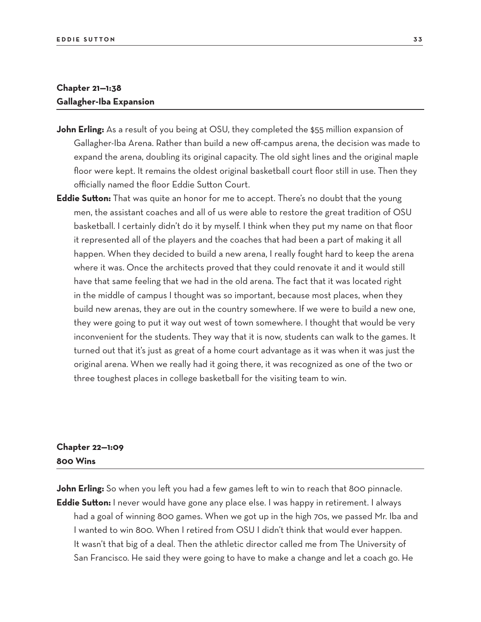# **Chapter 21—1:38 Gallagher-Iba Expansion**

- **John Erling:** As a result of you being at OSU, they completed the \$55 million expansion of Gallagher-Iba Arena. Rather than build a new off-campus arena, the decision was made to expand the arena, doubling its original capacity. The old sight lines and the original maple floor were kept. It remains the oldest original basketball court floor still in use. Then they officially named the floor Eddie Sutton Court.
- **Eddie Sutton:** That was quite an honor for me to accept. There's no doubt that the young men, the assistant coaches and all of us were able to restore the great tradition of OSU basketball. I certainly didn't do it by myself. I think when they put my name on that floor it represented all of the players and the coaches that had been a part of making it all happen. When they decided to build a new arena, I really fought hard to keep the arena where it was. Once the architects proved that they could renovate it and it would still have that same feeling that we had in the old arena. The fact that it was located right in the middle of campus I thought was so important, because most places, when they build new arenas, they are out in the country somewhere. If we were to build a new one, they were going to put it way out west of town somewhere. I thought that would be very inconvenient for the students. They way that it is now, students can walk to the games. It turned out that it's just as great of a home court advantage as it was when it was just the original arena. When we really had it going there, it was recognized as one of the two or three toughest places in college basketball for the visiting team to win.

# **Chapter 22—1:09 800 Wins**

**John Erling:** So when you left you had a few games left to win to reach that 800 pinnacle. **Eddie Sutton:** I never would have gone any place else. I was happy in retirement. I always had a goal of winning 800 games. When we got up in the high 70s, we passed Mr. Iba and I wanted to win 800. When I retired from OSU I didn't think that would ever happen. It wasn't that big of a deal. Then the athletic director called me from The University of San Francisco. He said they were going to have to make a change and let a coach go. He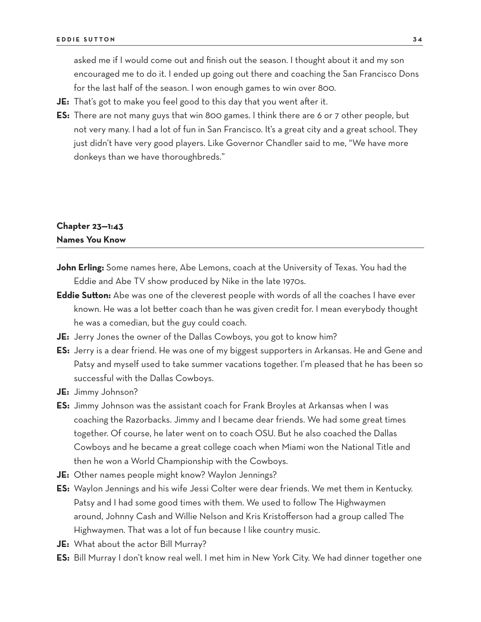asked me if I would come out and finish out the season. I thought about it and my son encouraged me to do it. I ended up going out there and coaching the San Francisco Dons for the last half of the season. I won enough games to win over 800.

- **JE:** That's got to make you feel good to this day that you went after it.
- **ES:** There are not many guys that win 800 games. I think there are 6 or 7 other people, but not very many. I had a lot of fun in San Francisco. It's a great city and a great school. They just didn't have very good players. Like Governor Chandler said to me, "We have more donkeys than we have thoroughbreds."

### **Chapter 23—1:43 Names You Know**

- **John Erling:** Some names here, Abe Lemons, coach at the University of Texas. You had the Eddie and Abe TV show produced by Nike in the late 1970s.
- **Eddie Sutton:** Abe was one of the cleverest people with words of all the coaches I have ever known. He was a lot better coach than he was given credit for. I mean everybody thought he was a comedian, but the guy could coach.
- **JE:** Jerry Jones the owner of the Dallas Cowboys, you got to know him?
- **ES:** Jerry is a dear friend. He was one of my biggest supporters in Arkansas. He and Gene and Patsy and myself used to take summer vacations together. I'm pleased that he has been so successful with the Dallas Cowboys.
- **JE:** Jimmy Johnson?
- **ES:** Jimmy Johnson was the assistant coach for Frank Broyles at Arkansas when I was coaching the Razorbacks. Jimmy and I became dear friends. We had some great times together. Of course, he later went on to coach OSU. But he also coached the Dallas Cowboys and he became a great college coach when Miami won the National Title and then he won a World Championship with the Cowboys.
- **JE:** Other names people might know? Waylon Jennings?
- **ES:** Waylon Jennings and his wife Jessi Colter were dear friends. We met them in Kentucky. Patsy and I had some good times with them. We used to follow The Highwaymen around, Johnny Cash and Willie Nelson and Kris Kristofferson had a group called The Highwaymen. That was a lot of fun because I like country music.
- **JE:** What about the actor Bill Murray?
- **ES:** Bill Murray I don't know real well. I met him in New York City. We had dinner together one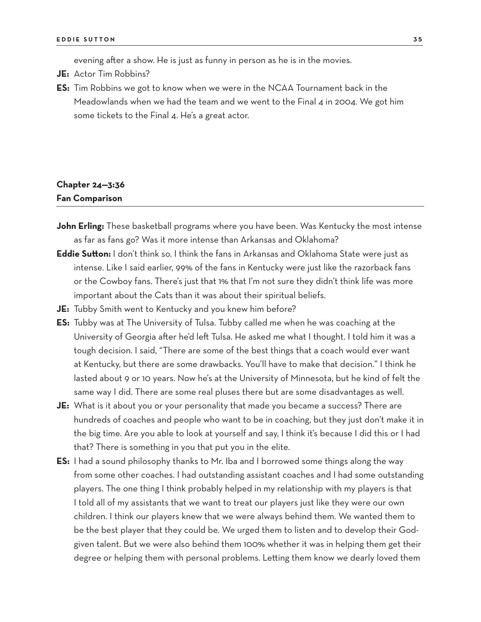evening after a show. He is just as funny in person as he is in the movies.

- **JE:** Actor Tim Robbins?
- **ES:** Tim Robbins we got to know when we were in the NCAA Tournament back in the Meadowlands when we had the team and we went to the Final 4 in 2004. We got him some tickets to the Final 4. He's a great actor.

# **Chapter 24—3:36 Fan Comparison**

- **John Erling:** These basketball programs where you have been. Was Kentucky the most intense as far as fans go? Was it more intense than Arkansas and Oklahoma?
- **Eddie Sutton:** I don't think so. I think the fans in Arkansas and Oklahoma State were just as intense. Like I said earlier, 99% of the fans in Kentucky were just like the razorback fans or the Cowboy fans. There's just that 1% that I'm not sure they didn't think life was more important about the Cats than it was about their spiritual beliefs.
- **JE:** Tubby Smith went to Kentucky and you knew him before?
- **ES:** Tubby was at The University of Tulsa. Tubby called me when he was coaching at the University of Georgia after he'd left Tulsa. He asked me what I thought. I told him it was a tough decision. I said, "There are some of the best things that a coach would ever want at Kentucky, but there are some drawbacks. You'll have to make that decision." I think he lasted about 9 or 10 years. Now he's at the University of Minnesota, but he kind of felt the same way I did. There are some real pluses there but are some disadvantages as well.
- **JE:** What is it about you or your personality that made you became a success? There are hundreds of coaches and people who want to be in coaching, but they just don't make it in the big time. Are you able to look at yourself and say, I think it's because I did this or I had that? There is something in you that put you in the elite.
- **ES:** I had a sound philosophy thanks to Mr. Iba and I borrowed some things along the way from some other coaches. I had outstanding assistant coaches and I had some outstanding players. The one thing I think probably helped in my relationship with my players is that I told all of my assistants that we want to treat our players just like they were our own children. I think our players knew that we were always behind them. We wanted them to be the best player that they could be. We urged them to listen and to develop their Godgiven talent. But we were also behind them 100% whether it was in helping them get their degree or helping them with personal problems. Letting them know we dearly loved them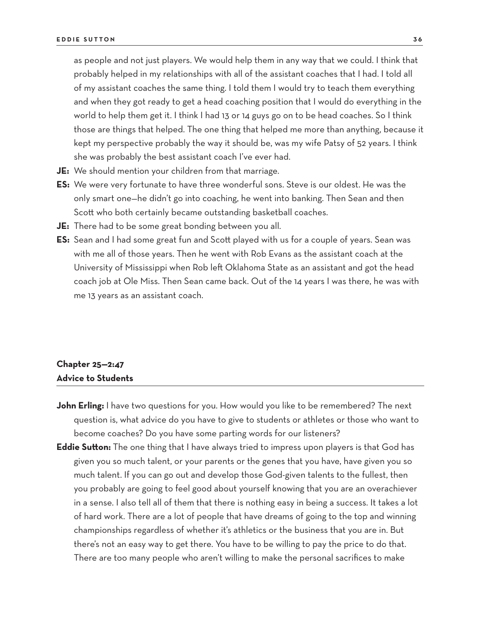as people and not just players. We would help them in any way that we could. I think that probably helped in my relationships with all of the assistant coaches that I had. I told all of my assistant coaches the same thing. I told them I would try to teach them everything and when they got ready to get a head coaching position that I would do everything in the world to help them get it. I think I had 13 or 14 guys go on to be head coaches. So I think those are things that helped. The one thing that helped me more than anything, because it kept my perspective probably the way it should be, was my wife Patsy of 52 years. I think she was probably the best assistant coach I've ever had.

- **JE:** We should mention your children from that marriage.
- **ES:** We were very fortunate to have three wonderful sons. Steve is our oldest. He was the only smart one—he didn't go into coaching, he went into banking. Then Sean and then Scott who both certainly became outstanding basketball coaches.
- **JE:** There had to be some great bonding between you all.
- **ES:** Sean and I had some great fun and Scott played with us for a couple of years. Sean was with me all of those years. Then he went with Rob Evans as the assistant coach at the University of Mississippi when Rob left Oklahoma State as an assistant and got the head coach job at Ole Miss. Then Sean came back. Out of the 14 years I was there, he was with me 13 years as an assistant coach.

# **Chapter 25—2:47 Advice to Students**

- **John Erling:** I have two questions for you. How would you like to be remembered? The next question is, what advice do you have to give to students or athletes or those who want to become coaches? Do you have some parting words for our listeners?
- **Eddie Sutton:** The one thing that I have always tried to impress upon players is that God has given you so much talent, or your parents or the genes that you have, have given you so much talent. If you can go out and develop those God-given talents to the fullest, then you probably are going to feel good about yourself knowing that you are an overachiever in a sense. I also tell all of them that there is nothing easy in being a success. It takes a lot of hard work. There are a lot of people that have dreams of going to the top and winning championships regardless of whether it's athletics or the business that you are in. But there's not an easy way to get there. You have to be willing to pay the price to do that. There are too many people who aren't willing to make the personal sacrifices to make